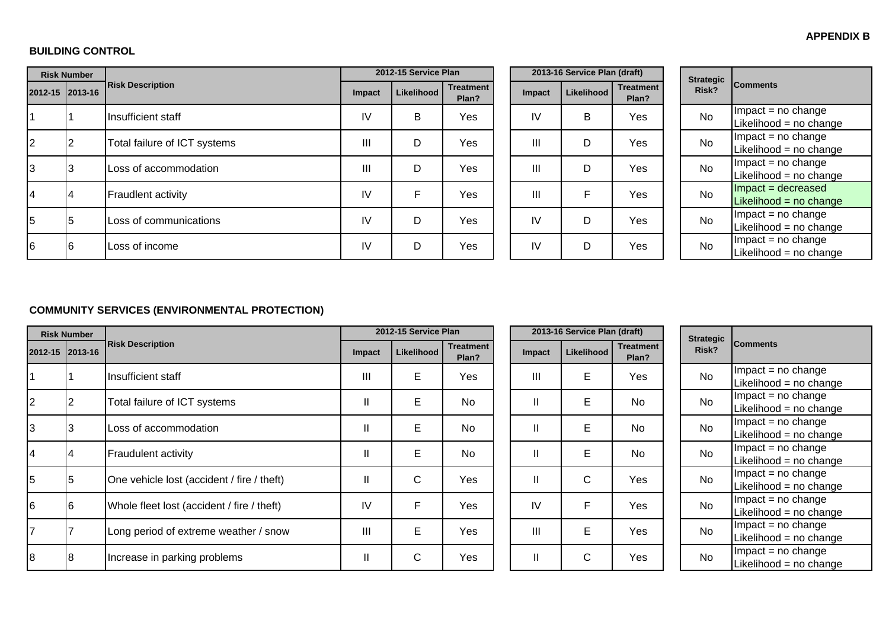#### **APPENDIX B**

**CONTRACTOR** 

#### **BUILDING CONTROL**

|                | <b>Risk Number</b> |                              |        | 2012-15 Service Plan |                           |        | 2013-16 Service Plan (draft) |                           | <b>Strategic</b> | <b>Comments</b>                                 |
|----------------|--------------------|------------------------------|--------|----------------------|---------------------------|--------|------------------------------|---------------------------|------------------|-------------------------------------------------|
|                | 2012-15 2013-16    | <b>Risk Description</b>      | Impact | Likelihood           | <b>Treatment</b><br>Plan? | Impact | <b>Likelihood</b>            | <b>Treatment</b><br>Plan? | Risk?            |                                                 |
|                |                    | Insufficient staff           | IV     | B                    | Yes                       | IV     | B                            | Yes                       | No               | $Im$ pact = no change<br>Likelihood = no change |
| $\overline{2}$ |                    | Total failure of ICT systems | Ш      | D                    | Yes                       | Ш      | D                            | Yes                       | No               | $Im$ pact = no change<br>Likelihood = no change |
| 13             |                    | Loss of accommodation        | Ш      | D                    | Yes                       | Ш      | D                            | Yes                       | <b>No</b>        | $Im$ pact = no change<br>Likelihood = no change |
|                |                    | <b>Fraudlent activity</b>    | IV     | Е                    | Yes                       | Ш      | F                            | Yes                       | <b>No</b>        | $Im$ pact = decreased<br>Likelihood = no change |
| 5              | 5                  | Loss of communications       | IV     | D                    | Yes                       | IV     | D                            | Yes                       | <b>No</b>        | $Im$ pact = no change<br>Likelihood = no change |
| 6              | l6                 | Loss of income               | IV     | D                    | Yes                       | IV     | D                            | Yes                       | No               | $Im$ pact = no change<br>Likelihood = no change |

## **COMMUNITY SERVICES (ENVIRONMENTAL PROTECTION)**

|                 | <b>Risk Number</b> |                                            |               | 2012-15 Service Plan |                           |                | 2013-16 Service Plan (draft) |                           | <b>Strategic</b> |           |                                               |  |
|-----------------|--------------------|--------------------------------------------|---------------|----------------------|---------------------------|----------------|------------------------------|---------------------------|------------------|-----------|-----------------------------------------------|--|
| 2012-15 2013-16 |                    | <b>Risk Description</b>                    | Impact        | Likelihood           | <b>Treatment</b><br>Plan? | <b>Impact</b>  | Likelihood                   | <b>Treatment</b><br>Plan? |                  | Risk?     | <b>Comments</b>                               |  |
|                 |                    | Insufficient staff                         | Ш             | Е                    | Yes                       | III            | E                            | Yes                       |                  | <b>No</b> | $Im$ pact = no change<br>Likelihood = no chan |  |
| 2               |                    | Total failure of ICT systems               | $\mathbf{I}$  | E                    | <b>No</b>                 | Ш              | E                            | <b>No</b>                 |                  | <b>No</b> | $Im$ pact = no change<br>Likelihood = no chan |  |
| 3               | د.                 | Loss of accommodation                      | $\mathbf{I}$  | E                    | <b>No</b>                 | Ш              | E                            | <b>No</b>                 |                  | <b>No</b> | $Im$ pact = no change<br>Likelihood = no chan |  |
| 14              | Ι4                 | <b>Fraudulent activity</b>                 | $\mathbf{I}$  | E                    | <b>No</b>                 | Ш              | E                            | <b>No</b>                 |                  | <b>No</b> | $Im$ pact = no change<br>Likelihood = no chan |  |
| 15              |                    | One vehicle lost (accident / fire / theft) | $\mathbf{I}$  | C                    | Yes                       | Ш              | $\mathsf{C}$                 | Yes                       |                  | <b>No</b> | $Im$ pact = no change<br>Likelihood = no chan |  |
| 6               | 16                 | Whole fleet lost (accident / fire / theft) | IV            | F                    | Yes                       | IV             | F                            | Yes                       |                  | <b>No</b> | $Im$ pact = no change<br>Likelihood = no chan |  |
|                 |                    | Long period of extreme weather / snow      | Ш             | E                    | Yes                       | $\mathbf{III}$ | E                            | Yes                       |                  | <b>No</b> | $Im$ pact = no change<br>Likelihood = no chan |  |
| 8               |                    | Increase in parking problems               | $\mathbf{  }$ | C                    | Yes                       | Ш              | C                            | Yes                       |                  | <b>No</b> | $Im$ pact = no change<br>Likelihood = no chan |  |

|          | 2013-16 Service Plan (draft) |            |                           |  |  |  |  |  |  |  |  |
|----------|------------------------------|------------|---------------------------|--|--|--|--|--|--|--|--|
| ent<br>? | Impact                       | Likelihood | <b>Treatment</b><br>Plan? |  |  |  |  |  |  |  |  |
| ś        | Ш                            | E          | Yes                       |  |  |  |  |  |  |  |  |
|          | $\mathsf{II}$                | E          | No                        |  |  |  |  |  |  |  |  |
|          | $\mathbf{I}$                 | E          | No                        |  |  |  |  |  |  |  |  |
|          | $\mathsf{I}$                 | E          | <b>No</b>                 |  |  |  |  |  |  |  |  |
| ś        | $\mathsf{I}$                 | C          | Yes                       |  |  |  |  |  |  |  |  |
| ś        | IV                           | F          | Yes                       |  |  |  |  |  |  |  |  |
| ś        | Ш                            | E          | Yes                       |  |  |  |  |  |  |  |  |
| ś        | Π                            | C          | Yes                       |  |  |  |  |  |  |  |  |

| <b>Strategic</b><br>Risk? | <b>Comments</b>          |
|---------------------------|--------------------------|
| N٥                        | Impact = no change       |
|                           | Likelihood = no change   |
| N٥                        | $Impact = no change$     |
|                           | Likelihood = no change   |
| N٥                        | Impact = no change       |
|                           | Likelihood = $no$ change |
| N٥                        | Impact = no change       |
|                           | Likelihood = no change   |
| N٥                        | $Impact = no change$     |
|                           | Likelihood = no change   |
| N٥                        | $Impact = no change$     |
|                           | Likelihood = no change   |
| N٥                        | $Impact = no change$     |
|                           | Likelihood = no change   |
| N٥                        | $Impact = no change$     |
|                           | Likelihood = no change   |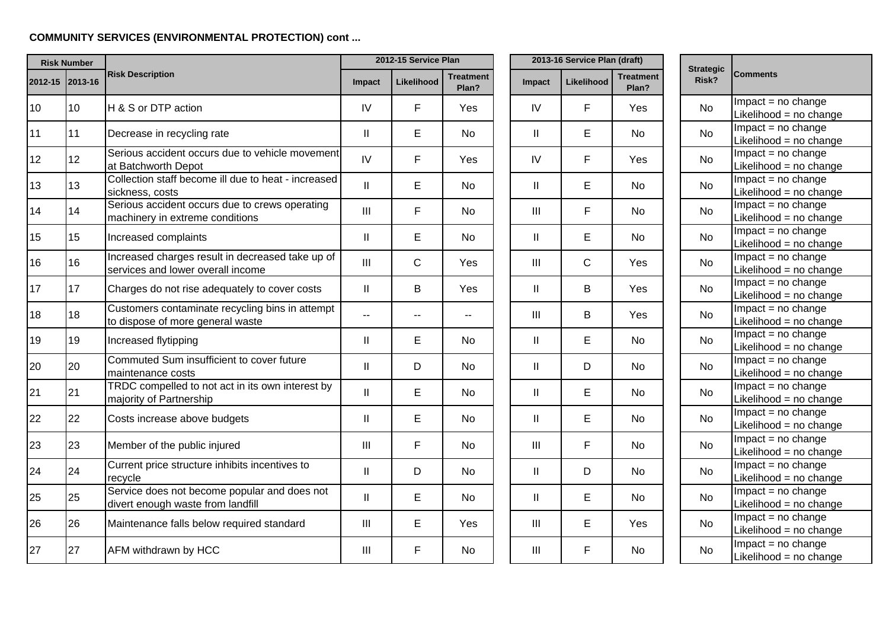# **COMMUNITY SERVICES (ENVIRONMENTAL PROTECTION) cont ...**

|    | <b>Risk Number</b> |                                                                                       | 2012-15 Service Plan       |              |                           |  |                | 2013-16 Service Plan (draft) |                           |                           |                                                 |
|----|--------------------|---------------------------------------------------------------------------------------|----------------------------|--------------|---------------------------|--|----------------|------------------------------|---------------------------|---------------------------|-------------------------------------------------|
|    | 2012-15 2013-16    | <b>Risk Description</b>                                                               | Impact                     | Likelihood   | <b>Treatment</b><br>Plan? |  | Impact         | Likelihood                   | <b>Treatment</b><br>Plan? | <b>Strategic</b><br>Risk? | <b>Comments</b>                                 |
| 10 | 10                 | H & S or DTP action                                                                   | IV                         | F            | Yes                       |  | IV             | F                            | Yes                       | No                        | $Im$ pact = no change<br>Likelihood = no change |
| 11 | 11                 | Decrease in recycling rate                                                            | $\ensuremath{\mathsf{II}}$ | E            | <b>No</b>                 |  | $\mathbf{II}$  | E                            | No                        | No                        | $Impact = no change$<br>Likelihood = no change  |
| 12 | 12                 | Serious accident occurs due to vehicle movement<br>at Batchworth Depot                | IV                         | F            | Yes                       |  | IV             | F                            | Yes                       | No                        | $Impact = no change$<br>Likelihood = no change  |
| 13 | 13                 | Collection staff become ill due to heat - increased<br>sickness, costs                | $\mathbf{II}$              | E.           | <b>No</b>                 |  | Ш              | E                            | No                        | No                        | $Im$ pact = no change<br>Likelihood = no change |
| 14 | 14                 | Serious accident occurs due to crews operating<br>machinery in extreme conditions     | $\mathbf{III}$             | F            | <b>No</b>                 |  | $\mathbf{III}$ | F                            | No                        | No                        | $Impact = no change$<br>Likelihood = no change  |
| 15 | 15                 | Increased complaints                                                                  | $\mathbf{II}$              | Е            | <b>No</b>                 |  | $\mathbf{II}$  | E                            | No                        | No                        | $Impact = no change$<br>Likelihood = no change  |
| 16 | 16                 | Increased charges result in decreased take up of<br>services and lower overall income | $\mathbf{III}$             | $\mathsf{C}$ | Yes                       |  | Ш              | $\mathsf{C}$                 | Yes                       | <b>No</b>                 | $Impact = no change$<br>Likelihood = no change  |
| 17 | 17                 | Charges do not rise adequately to cover costs                                         | $\mathbf{II}$              | B            | Yes                       |  | $\mathbf{II}$  | B                            | Yes                       | No                        | $Impact = no change$<br>Likelihood = no change  |
| 18 | 18                 | Customers contaminate recycling bins in attempt<br>to dispose of more general waste   | н.                         | --           |                           |  | III            | B                            | Yes                       | No                        | $Impact = no change$<br>Likelihood = no change  |
| 19 | 19                 | Increased flytipping                                                                  | $\mathbf{  }$              | E            | <b>No</b>                 |  | $\mathbf{II}$  | E                            | No                        | <b>No</b>                 | $Im$ pact = no change<br>Likelihood = no change |
| 20 | 20                 | Commuted Sum insufficient to cover future<br>maintenance costs                        | $\mathbf{  }$              | D            | <b>No</b>                 |  | $\mathbf{I}$   | D                            | No                        | <b>No</b>                 | $Impact = no change$<br>Likelihood = no change  |
| 21 | 21                 | TRDC compelled to not act in its own interest by<br>majority of Partnership           | $\mathbf{I}$               | E            | <b>No</b>                 |  | $\mathbf{I}$   | E                            | No                        | No                        | $Im$ pact = no change<br>Likelihood = no change |
| 22 | 22                 | Costs increase above budgets                                                          | $\mathbf{  }$              | E            | <b>No</b>                 |  | $\mathbf{II}$  | E                            | No                        | <b>No</b>                 | $Im$ pact = no change<br>Likelihood = no change |
| 23 | 23                 | Member of the public injured                                                          | Ш                          | F            | <b>No</b>                 |  | $\mathbf{III}$ | F                            | No                        | <b>No</b>                 | $Impact = no change$<br>Likelihood = no change  |
| 24 | 24                 | Current price structure inhibits incentives to<br>recycle                             | $\mathbf{II}$              | D            | No                        |  | $\mathbf{II}$  | D                            | No                        | <b>No</b>                 | $Impact = no change$<br>Likelihood = no change  |
| 25 | 25                 | Service does not become popular and does not<br>divert enough waste from landfill     | $\mathbf{  }$              | E            | <b>No</b>                 |  | $\mathbf{II}$  | E                            | <b>No</b>                 | <b>No</b>                 | $Impact = no change$<br>Likelihood = no change  |
| 26 | 26                 | Maintenance falls below required standard                                             | Ш                          | E            | Yes                       |  | $\mathbf{III}$ | E                            | Yes                       | No                        | $Im$ pact = no change<br>Likelihood = no change |
| 27 | 27                 | AFM withdrawn by HCC                                                                  | Ш                          | F            | No                        |  | Ш              | F                            | No                        | No                        | $Impact = no change$<br>Likelihood = no change  |

| <b>Strategic</b><br><b>Risk?</b> | <b>Comments</b>                        |  |  |  |  |  |  |  |
|----------------------------------|----------------------------------------|--|--|--|--|--|--|--|
| No                               | Impact = no change                     |  |  |  |  |  |  |  |
|                                  | Likelihood = no change                 |  |  |  |  |  |  |  |
| No                               | $Impact = no change$                   |  |  |  |  |  |  |  |
|                                  | Likelihood = no change                 |  |  |  |  |  |  |  |
| No                               | $Impact = no change$                   |  |  |  |  |  |  |  |
|                                  | Likelihood = no change                 |  |  |  |  |  |  |  |
| N٥                               | $Impact = no change$                   |  |  |  |  |  |  |  |
|                                  | Likelihood = no change                 |  |  |  |  |  |  |  |
| N٥                               | $Impact = no change$                   |  |  |  |  |  |  |  |
|                                  | Likelihood = no change                 |  |  |  |  |  |  |  |
| No                               | Impact = $no$ change                   |  |  |  |  |  |  |  |
|                                  | Likelihood = no change                 |  |  |  |  |  |  |  |
| No                               | Impact = no change                     |  |  |  |  |  |  |  |
|                                  | Likelihood = no change                 |  |  |  |  |  |  |  |
| No                               | $Impact = no change$                   |  |  |  |  |  |  |  |
|                                  | Likelihood = no change                 |  |  |  |  |  |  |  |
| N٥                               | $Impact = no change$                   |  |  |  |  |  |  |  |
|                                  | Likelihood = no change                 |  |  |  |  |  |  |  |
| No                               | $Impact = no change$                   |  |  |  |  |  |  |  |
|                                  | Likelihood = no change                 |  |  |  |  |  |  |  |
| No                               | $Impact = no change$                   |  |  |  |  |  |  |  |
|                                  | Likelihood = no change                 |  |  |  |  |  |  |  |
| No                               | $Impact = no change$                   |  |  |  |  |  |  |  |
|                                  | Likelihood = no change                 |  |  |  |  |  |  |  |
| N٥                               | $\overline{\text{Im}$ pact = no change |  |  |  |  |  |  |  |
|                                  | Likelihood = no change                 |  |  |  |  |  |  |  |
| No                               | Impact = $no$ change                   |  |  |  |  |  |  |  |
|                                  | Likelihood = no change                 |  |  |  |  |  |  |  |
| N٥                               | $Impact = no change$                   |  |  |  |  |  |  |  |
|                                  | Likelihood = no change                 |  |  |  |  |  |  |  |
| No                               | $Impact = no change$                   |  |  |  |  |  |  |  |
|                                  | Likelihood = no change                 |  |  |  |  |  |  |  |
| N٥                               | $Impact = no change$                   |  |  |  |  |  |  |  |
|                                  | Likelihood = no change                 |  |  |  |  |  |  |  |
| No                               | $Impact = no change$                   |  |  |  |  |  |  |  |
|                                  | Likelihood = no change                 |  |  |  |  |  |  |  |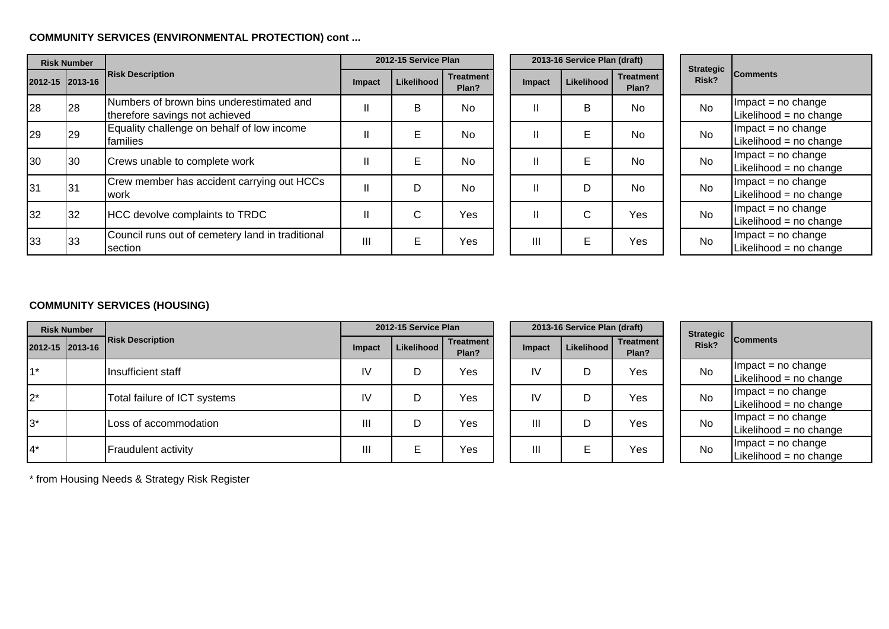## **COMMUNITY SERVICES (ENVIRONMENTAL PROTECTION) cont ...**

| <b>Risk Number</b> |                                            |                                                                            |                | 2012-15 Service Plan |                           | 2013-16 Service Plan (draft) |            |                           |  |                           |                                                 |
|--------------------|--------------------------------------------|----------------------------------------------------------------------------|----------------|----------------------|---------------------------|------------------------------|------------|---------------------------|--|---------------------------|-------------------------------------------------|
|                    | <b>Risk Description</b><br>2012-15 2013-16 |                                                                            | Impact         | Likelihood           | <b>Treatment</b><br>Plan? | Impact                       | Likelihood | <b>Treatment</b><br>Plan? |  | <b>Strategic</b><br>Risk? | <b>Comments</b>                                 |
| 28                 | 28                                         | Numbers of brown bins underestimated and<br>therefore savings not achieved |                | B                    | <b>No</b>                 | $\mathbf{H}$                 | B          | <b>No</b>                 |  | <b>No</b>                 | $Im$ pact = no change<br>Likelihood = no change |
| 29                 | 29                                         | Equality challenge on behalf of low income<br>lfamilies                    |                | Е                    | <b>No</b>                 | $\mathbf{H}$                 | E          | <b>No</b>                 |  | <b>No</b>                 | $Im$ pact = no change<br>Likelihood = no change |
| 30                 | 30                                         | Crews unable to complete work                                              |                | E                    | <b>No</b>                 | $\mathbf{H}$                 | E          | <b>No</b>                 |  | <b>No</b>                 | $Im$ pact = no change<br>Likelihood = no change |
| 31                 | 31                                         | Crew member has accident carrying out HCCs<br>work                         |                | D                    | <b>No</b>                 | $\mathbf{H}$                 | D          | <b>No</b>                 |  | <b>No</b>                 | $Im$ pact = no change<br>Likelihood = no change |
| 32                 | 32                                         | HCC devolve complaints to TRDC                                             |                | С                    | Yes                       | $\mathbf{H}$                 | C          | Yes                       |  | <b>No</b>                 | $Im$ pact = no change<br>Likelihood = no change |
| 33                 | 33                                         | Council runs out of cemetery land in traditional<br>section                | $\mathbf{III}$ | Е                    | Yes                       | $\mathbf{III}$               | E          | Yes                       |  | <b>No</b>                 | $Im$ pact = no change<br>Likelihood = no change |

|          | 2013-16 Service Plan (draft) |                           |           |  |  |  |  |  |  |
|----------|------------------------------|---------------------------|-----------|--|--|--|--|--|--|
| ent<br>? | Impact                       | <b>Treatment</b><br>Plan? |           |  |  |  |  |  |  |
|          | Ш                            | Β                         | No        |  |  |  |  |  |  |
|          | $\mathsf{II}$                | E                         | <b>No</b> |  |  |  |  |  |  |
|          | $\mathsf{II}$                | E                         | No        |  |  |  |  |  |  |
|          | н                            | D                         | No        |  |  |  |  |  |  |
| ś        | н                            | C                         | Yes       |  |  |  |  |  |  |
| ś        | Ш                            | F                         | Yes       |  |  |  |  |  |  |

| <b>Strategic</b><br>Risk? | <b>Comments</b>        |
|---------------------------|------------------------|
| N٥                        | $Impact = no change$   |
|                           | Likelihood = no change |
| Nο                        | $Impact = no change$   |
|                           | Likelihood = no change |
| Nο                        | $Impact = no change$   |
|                           | Likelihood = no change |
| N٥                        | $Impact = no change$   |
|                           | Likelihood = no change |
| Nο                        | $Impact = no change$   |
|                           | Likelihood = no change |
| N٥                        | $Impact = no change$   |
|                           | Likelihood = no change |

# **COMMUNITY SERVICES (HOUSING)**

|               | <b>Risk Number</b> |                              | 2012-15 Service Plan |              |                           | 2013-16 Service Plan (draft) |            |                           |  | <b>Strategic</b> |                                                   |
|---------------|--------------------|------------------------------|----------------------|--------------|---------------------------|------------------------------|------------|---------------------------|--|------------------|---------------------------------------------------|
|               | 2012-15 2013-16    | <b>Risk Description</b>      | Impact               | Likelihood I | <b>Treatment</b><br>Plan? | <b>Impact</b>                | Likelihood | <b>Treatment</b><br>Plan? |  | Risk?            | <b>Comments</b>                                   |
|               |                    | Insufficient staff           | IV                   | D            | Yes                       | IV                           |            | Yes                       |  | <b>No</b>        | $Im$ pact = no change<br>Likelihood = no change   |
| $2^*$         |                    | Total failure of ICT systems | IV                   | D            | Yes                       | IV                           |            | Yes                       |  | <b>No</b>        | $Im$ pact = no change<br>Likelihood = $no$ change |
| <sup>3*</sup> |                    | Loss of accommodation        | Ш                    | D            | Yes                       | Ш                            |            | Yes                       |  | No               | $Im$ pact = no change<br>Likelihood = no change   |
| $4^*$         |                    | <b>Fraudulent activity</b>   | Ш                    | E            | Yes                       | Ш                            |            | Yes                       |  | <b>No</b>        | $Im$ pact = no change<br>Likelihood = no change   |

\* from Housing Needs & Strategy Risk Register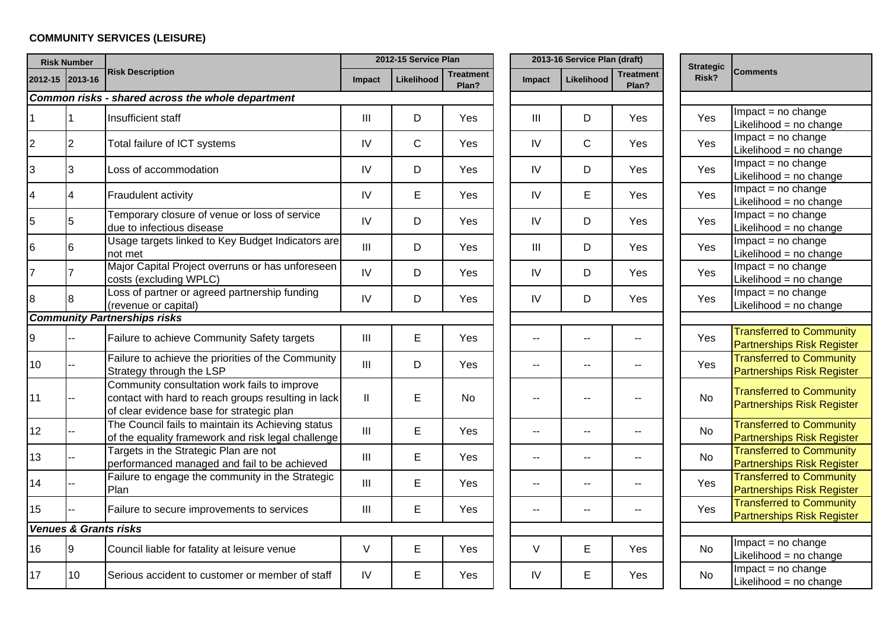# **COMMUNITY SERVICES (LEISURE)**

|                | <b>Risk Number</b>               |                                                                                                                                                  |                                    | 2012-15 Service Plan |                           |                          | 2013-16 Service Plan (draft) |                    | <b>Strategic</b> |                                                                      |
|----------------|----------------------------------|--------------------------------------------------------------------------------------------------------------------------------------------------|------------------------------------|----------------------|---------------------------|--------------------------|------------------------------|--------------------|------------------|----------------------------------------------------------------------|
|                | 2012-15 2013-16                  | <b>Risk Description</b>                                                                                                                          | Impact                             | Likelihood           | <b>Treatment</b><br>Plan? | Impact                   | Likelihood                   | Treatment<br>Plan? | Risk?            | <b>Comments</b>                                                      |
|                |                                  | Common risks - shared across the whole department                                                                                                |                                    |                      |                           |                          |                              |                    |                  |                                                                      |
|                |                                  | Insufficient staff                                                                                                                               | III                                | D                    | Yes                       | Ш                        | D                            | Yes                | Yes              | $Impact = no change$<br>Likelihood = no change                       |
| $\overline{2}$ | $\overline{2}$                   | Total failure of ICT systems                                                                                                                     | IV                                 | $\mathsf{C}$         | Yes                       | IV                       | C                            | Yes                | Yes              | $Im$ pact = no change<br>Likelihood = no change                      |
| 3              | 3                                | Loss of accommodation                                                                                                                            | IV                                 | D                    | Yes                       | IV                       | D                            | Yes                | Yes              | $Impact = no change$<br>Likelihood = no change                       |
| $\overline{4}$ |                                  | <b>Fraudulent activity</b>                                                                                                                       | IV                                 | E                    | Yes                       | IV                       | E                            | Yes                | Yes              | $Impact = no change$<br>Likelihood = no change                       |
| 5              | 5                                | Temporary closure of venue or loss of service<br>due to infectious disease                                                                       | IV                                 | D                    | Yes                       | IV                       | D                            | Yes                | Yes              | $Impact = no change$<br>Likelihood = no change                       |
| 6              | 6                                | Usage targets linked to Key Budget Indicators are<br>not met                                                                                     | $\mathbf{III}$                     | D                    | Yes                       | $\mathbf{III}$           | D                            | Yes                | Yes              | $Impact = no change$<br>Likelihood = no change                       |
| $\overline{7}$ |                                  | Major Capital Project overruns or has unforeseen<br>costs (excluding WPLC)                                                                       | IV                                 | D                    | Yes                       | IV                       | D                            | Yes                | Yes              | $Im$ pact = no change<br>Likelihood = no change                      |
| 8              | 8                                | Loss of partner or agreed partnership funding<br>(revenue or capital)                                                                            | IV                                 | D                    | Yes                       | IV                       | D                            | Yes                | Yes              | $Impact = no change$<br>Likelihood = no change                       |
|                |                                  | <b>Community Partnerships risks</b>                                                                                                              |                                    |                      |                           |                          |                              |                    |                  |                                                                      |
| 9              |                                  | Failure to achieve Community Safety targets                                                                                                      | III                                | $\mathsf E$          | Yes                       | --                       | $-$                          | --                 | Yes              | <b>Transferred to Community</b><br><b>Partnerships Risk Register</b> |
| 10             |                                  | Failure to achieve the priorities of the Community<br>Strategy through the LSP                                                                   | $\mathbf{III}$                     | D                    | Yes                       | $-$                      | $-$                          |                    | Yes              | <b>Transferred to Community</b><br><b>Partnerships Risk Register</b> |
| 11             |                                  | Community consultation work fails to improve<br>contact with hard to reach groups resulting in lack<br>of clear evidence base for strategic plan | $\mathsf{II}$                      | E                    | <b>No</b>                 |                          |                              |                    | No               | <b>Transferred to Community</b><br><b>Partnerships Risk Register</b> |
| 12             |                                  | The Council fails to maintain its Achieving status<br>of the equality framework and risk legal challenge                                         | $\mathbf{III}$                     | E                    | Yes                       | $\sim$ $-$               | $\sim$                       | $\frac{1}{2}$      | No               | <b>Transferred to Community</b><br><b>Partnerships Risk Register</b> |
| 13             |                                  | Targets in the Strategic Plan are not<br>performanced managed and fail to be achieved                                                            | $\ensuremath{\mathsf{III}}\xspace$ | $\mathsf E$          | Yes                       | $-$                      | $-$                          | --                 | No               | <b>Transferred to Community</b><br><b>Partnerships Risk Register</b> |
| 14             |                                  | Failure to engage the community in the Strategic<br>Plan                                                                                         | III                                | E                    | Yes                       | $\overline{\phantom{a}}$ | --                           | --                 | Yes              | <b>Transferred to Community</b><br><b>Partnerships Risk Register</b> |
| 15             |                                  | Failure to secure improvements to services                                                                                                       | Ш                                  | E                    | Yes                       | $- -$                    | $-$                          | $\overline{a}$     | Yes              | <b>Transferred to Community</b><br><b>Partnerships Risk Register</b> |
|                | <b>Venues &amp; Grants risks</b> |                                                                                                                                                  |                                    |                      |                           |                          |                              |                    |                  |                                                                      |
| 16             | 9                                | Council liable for fatality at leisure venue                                                                                                     | $\vee$                             | E                    | Yes                       | V                        | E                            | Yes                | No               | $Im$ pact = no change<br>Likelihood = no change                      |
| 17             | 10                               | Serious accident to customer or member of staff                                                                                                  | IV                                 | E                    | Yes                       | IV                       | E                            | Yes                | No.              | $Impact = no change$<br>Likelihood = no change                       |

| <b>Strategic</b><br>Risk? | <b>Comments</b>                                                      |  |  |  |  |  |  |  |  |  |
|---------------------------|----------------------------------------------------------------------|--|--|--|--|--|--|--|--|--|
|                           |                                                                      |  |  |  |  |  |  |  |  |  |
| Yes                       | $Impact = no change$                                                 |  |  |  |  |  |  |  |  |  |
|                           | Likelihood = no change                                               |  |  |  |  |  |  |  |  |  |
| Yes                       | $Impact = no change$                                                 |  |  |  |  |  |  |  |  |  |
|                           | Likelihood = no change                                               |  |  |  |  |  |  |  |  |  |
| Yes                       | $\overline{\text{Impact}}$ = no change                               |  |  |  |  |  |  |  |  |  |
|                           | Likelihood = no change                                               |  |  |  |  |  |  |  |  |  |
| Yes                       | $Impact = no change$                                                 |  |  |  |  |  |  |  |  |  |
|                           | Likelihood = no change                                               |  |  |  |  |  |  |  |  |  |
| Yes                       | $Impact = no change$                                                 |  |  |  |  |  |  |  |  |  |
|                           | Likelihood = no change                                               |  |  |  |  |  |  |  |  |  |
| Yes                       | $Impact = no change$                                                 |  |  |  |  |  |  |  |  |  |
|                           | Likelihood = no change                                               |  |  |  |  |  |  |  |  |  |
| Yes                       | $Impact = no change$                                                 |  |  |  |  |  |  |  |  |  |
|                           | Likelihood = no change                                               |  |  |  |  |  |  |  |  |  |
| Yes                       | $Impact = no change$                                                 |  |  |  |  |  |  |  |  |  |
|                           | Likelihood = no change                                               |  |  |  |  |  |  |  |  |  |
|                           |                                                                      |  |  |  |  |  |  |  |  |  |
| Yes                       | <b>Transferred to Community</b>                                      |  |  |  |  |  |  |  |  |  |
|                           | <b>Partnerships Risk Register</b><br><b>Transferred to Community</b> |  |  |  |  |  |  |  |  |  |
| Yes                       |                                                                      |  |  |  |  |  |  |  |  |  |
|                           | <b>Partnerships Risk Register</b>                                    |  |  |  |  |  |  |  |  |  |
|                           | <b>Transferred to Community</b>                                      |  |  |  |  |  |  |  |  |  |
| No                        | <b>Partnerships Risk Register</b>                                    |  |  |  |  |  |  |  |  |  |
|                           |                                                                      |  |  |  |  |  |  |  |  |  |
| No                        | <b>Transferred to Community</b>                                      |  |  |  |  |  |  |  |  |  |
|                           | <b>Partnerships Risk Register</b><br><b>Transferred to Community</b> |  |  |  |  |  |  |  |  |  |
| No                        | <b>Partnerships Risk Register</b>                                    |  |  |  |  |  |  |  |  |  |
|                           | <b>Transferred to Community</b>                                      |  |  |  |  |  |  |  |  |  |
| Yes                       | <b>Partnerships Risk Register</b>                                    |  |  |  |  |  |  |  |  |  |
|                           | <b>Transferred to Community</b>                                      |  |  |  |  |  |  |  |  |  |
| Yes                       | <b>Partnerships Risk Register</b>                                    |  |  |  |  |  |  |  |  |  |
|                           |                                                                      |  |  |  |  |  |  |  |  |  |
|                           | $Impact = no change$                                                 |  |  |  |  |  |  |  |  |  |
| No                        | Likelihood = no change                                               |  |  |  |  |  |  |  |  |  |
|                           | Impact = no change                                                   |  |  |  |  |  |  |  |  |  |
| No                        | Likelihood = no change                                               |  |  |  |  |  |  |  |  |  |
|                           |                                                                      |  |  |  |  |  |  |  |  |  |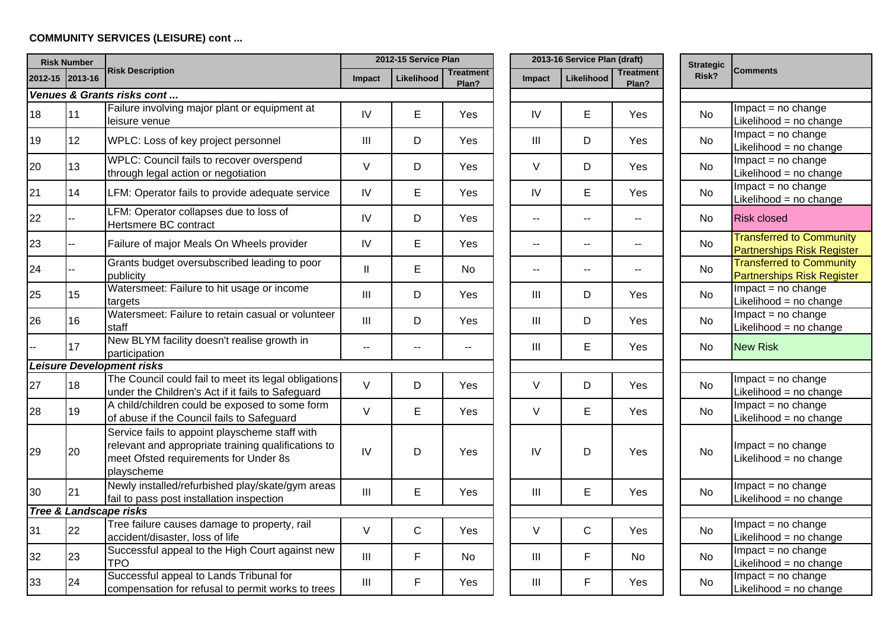### **COMMUNITY SERVICES (LEISURE) cont ...**

|    | <b>Risk Number</b> |                                                                                                                                                              |               | 2012-15 Service Plan |                           |                          | 2013-16 Service Plan (draft) |                           | <b>Strategic</b> |  |                                                                      |  |
|----|--------------------|--------------------------------------------------------------------------------------------------------------------------------------------------------------|---------------|----------------------|---------------------------|--------------------------|------------------------------|---------------------------|------------------|--|----------------------------------------------------------------------|--|
|    | 2012-15 2013-16    | <b>Risk Description</b>                                                                                                                                      | <b>Impact</b> | Likelihood           | <b>Treatment</b><br>Plan? | Impact                   | Likelihood                   | <b>Treatment</b><br>Plan? | Risk?            |  | <b>Comments</b>                                                      |  |
|    |                    | Venues & Grants risks cont                                                                                                                                   |               |                      |                           |                          |                              |                           |                  |  |                                                                      |  |
| 18 | 11                 | Failure involving major plant or equipment at<br>leisure venue                                                                                               | IV            | E                    | Yes                       | IV                       | E                            | Yes                       | No.              |  | $Impact = no change$<br>Likelihood = no change                       |  |
| 19 | 12                 | WPLC: Loss of key project personnel                                                                                                                          | III           | D                    | Yes                       | III                      | D                            | Yes                       | No               |  | $Impact = no change$<br>Likelihood = no change                       |  |
| 20 | 13                 | WPLC: Council fails to recover overspend<br>through legal action or negotiation                                                                              | $\vee$        | D                    | Yes                       | $\vee$                   | D                            | Yes                       | No               |  | $Impact = no change$<br>Likelihood = no change                       |  |
| 21 | 14                 | LFM: Operator fails to provide adequate service                                                                                                              | IV            | E                    | Yes                       | IV                       | $\mathsf E$                  | Yes                       | No               |  | $Impact = no change$<br>Likelihood = no change                       |  |
| 22 |                    | LFM: Operator collapses due to loss of<br>Hertsmere BC contract                                                                                              | IV            | D                    | Yes                       | $\overline{\phantom{a}}$ | $\sim$ $\sim$                | н.                        | N <sub>o</sub>   |  | <b>Risk closed</b>                                                   |  |
| 23 |                    | Failure of major Meals On Wheels provider                                                                                                                    | IV            | E                    | Yes                       | $\sim$ $\sim$            | $\sim$ $\sim$                | $-$                       | <b>No</b>        |  | <b>Transferred to Community</b><br><b>Partnerships Risk Register</b> |  |
| 24 |                    | Grants budget oversubscribed leading to poor<br>publicity                                                                                                    | $\mathbf{II}$ | E                    | <b>No</b>                 | $\sim$ $\sim$            | $\sim$                       | $\overline{a}$            | <b>No</b>        |  | <b>Transferred to Community</b><br><b>Partnerships Risk Register</b> |  |
| 25 | 15                 | Watersmeet: Failure to hit usage or income<br>targets                                                                                                        | III           | D                    | Yes                       | Ш                        | D                            | Yes                       | No               |  | $Impact = no change$<br>Likelihood = no change                       |  |
| 26 | 16                 | Watersmeet: Failure to retain casual or volunteer<br>staff                                                                                                   | III           | D                    | Yes                       | $\mathbf{III}$           | D                            | Yes                       | <b>No</b>        |  | $Impact = no change$<br>Likelihood = no change                       |  |
|    | 17                 | New BLYM facility doesn't realise growth in<br>participation                                                                                                 | $\mathbf{u}$  |                      | --                        | Ш                        | Е                            | Yes                       | No               |  | <b>New Risk</b>                                                      |  |
|    |                    | <b>Leisure Development risks</b>                                                                                                                             |               |                      |                           |                          |                              |                           |                  |  |                                                                      |  |
| 27 | 18                 | The Council could fail to meet its legal obligations<br>under the Children's Act if it fails to Safeguard                                                    | $\vee$        | D                    | Yes                       | $\vee$                   | D                            | Yes                       | <b>No</b>        |  | $Impact = no change$<br>Likelihood = no change                       |  |
| 28 | 19                 | A child/children could be exposed to some form<br>of abuse if the Council fails to Safeguard                                                                 | $\vee$        | E                    | Yes                       | $\vee$                   | $\mathsf E$                  | Yes                       | No               |  | $Impact = no change$<br>Likelihood = no change                       |  |
| 29 | 20                 | Service fails to appoint playscheme staff with<br>relevant and appropriate training qualifications to<br>meet Ofsted requirements for Under 8s<br>playscheme | IV            | D                    | Yes                       | IV                       | D                            | Yes                       | <b>No</b>        |  | Impact = no change<br>Likelihood = no change                         |  |
| 30 | 21                 | Newly installed/refurbished play/skate/gym areas<br>fail to pass post installation inspection                                                                | III           | E                    | Yes                       | III                      | E                            | Yes                       | No               |  | $Impact = no change$<br>Likelihood = $no$ change                     |  |
|    |                    | <b>Tree &amp; Landscape risks</b>                                                                                                                            |               |                      |                           |                          |                              |                           |                  |  |                                                                      |  |
| 31 | 22                 | Tree failure causes damage to property, rail<br>accident/disaster, loss of life                                                                              | $\vee$        | $\mathsf C$          | Yes                       | $\vee$                   | $\mathsf{C}$                 | Yes                       | No               |  | $Impact = no change$<br>Likelihood = no change                       |  |
| 32 | 23                 | Successful appeal to the High Court against new<br><b>TPO</b>                                                                                                | III           | F                    | No.                       | III                      | $\mathsf{F}$                 | <b>No</b>                 | <b>No</b>        |  | $Impact = no change$<br>Likelihood = no change                       |  |
| 33 | 24                 | Successful appeal to Lands Tribunal for<br>compensation for refusal to permit works to trees                                                                 | III           | F                    | Yes                       | III                      | $\mathsf{F}$                 | Yes                       | No               |  | Impact = no change<br>Likelihood = no change                         |  |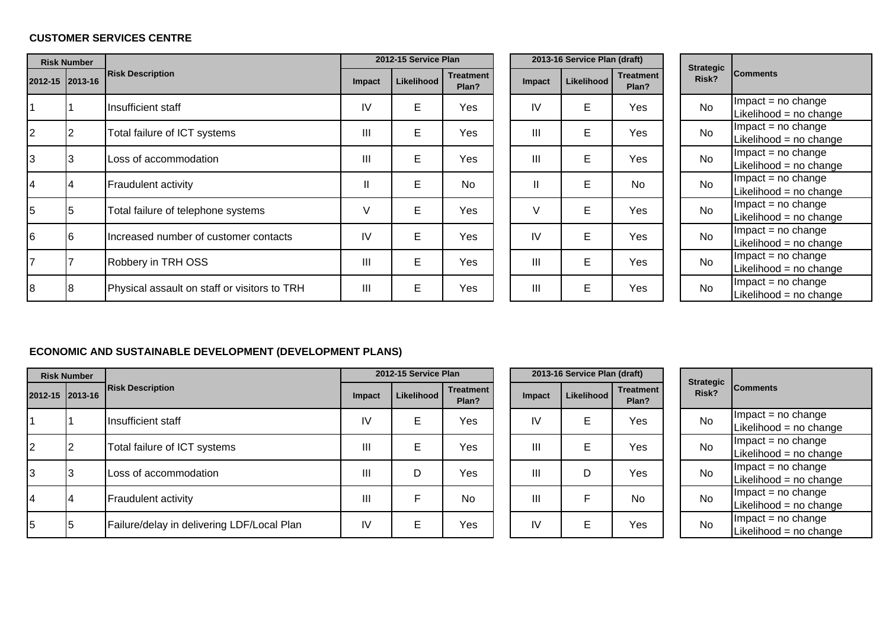### **CUSTOMER SERVICES CENTRE**

|    | <b>Risk Number</b> |                                              |                | 2012-15 Service Plan |                           |               | 2013-16 Service Plan (draft) |                           |                           |                                               |
|----|--------------------|----------------------------------------------|----------------|----------------------|---------------------------|---------------|------------------------------|---------------------------|---------------------------|-----------------------------------------------|
|    | 2012-15 2013-16    | <b>Risk Description</b>                      | <b>Impact</b>  | Likelihood           | <b>Treatment</b><br>Plan? | <b>Impact</b> | Likelihood                   | <b>Treatment</b><br>Plan? | <b>Strategic</b><br>Risk? | <b>Comments</b>                               |
|    |                    | Insufficient staff                           | IV             | E                    | Yes                       | IV            | E                            | Yes                       | <b>No</b>                 | $Im$ pact = no change<br>Likelihood = no chan |
| 2  |                    | Total failure of ICT systems                 | $\mathbf{III}$ | Е                    | Yes                       | III           | Е                            | Yes                       | <b>No</b>                 | $Im$ pact = no change<br>Likelihood = no chan |
| 3  | 13                 | Loss of accommodation                        | Ш              | E                    | Yes                       | III           | Е                            | Yes                       | <b>No</b>                 | $Im$ pact = no change<br>Likelihood = no chan |
| 14 | 14                 | <b>Fraudulent activity</b>                   | Ш.             | E                    | <b>No</b>                 | $\mathbf{I}$  | E                            | <b>No</b>                 | <b>No</b>                 | $Im$ pact = no change<br>Likelihood = no chan |
| 15 | 15                 | Total failure of telephone systems           | V              | E                    | Yes                       | V             | E                            | Yes                       | <b>No</b>                 | $Im$ pact = no change<br>Likelihood = no chan |
| 16 | 16                 | Increased number of customer contacts        | IV             | E                    | Yes                       | IV            | E                            | Yes                       | <b>No</b>                 | $Im$ pact = no change<br>Likelihood = no chan |
| 17 |                    | Robbery in TRH OSS                           | III            | E                    | Yes                       | III           | Е                            | Yes                       | No                        | $Im$ pact = no change<br>Likelihood = no chan |
| 18 | l8                 | Physical assault on staff or visitors to TRH | III            | E                    | Yes                       | III           | E                            | Yes                       | No                        | $Im$ pact = no change<br>Likelihood = no chan |

|          |                | 2013-16 Service Plan (draft) |     |    |           |
|----------|----------------|------------------------------|-----|----|-----------|
| ent<br>? | <b>Impact</b>  | <b>Strategic</b><br>Risk?    | Cor |    |           |
| ś        | IV             | E                            | Yes | No | Im<br>Lik |
| ś        | $\mathbf{III}$ | E                            | Yes | No | Im<br>Lik |
| ś        | $\mathbf{III}$ | E                            | Yes | No | Im<br>Lik |
|          | $\mathbf{I}$   | E                            | No  | No | Im<br>Lik |
| Š        | V              | E                            | Yes | No | lm<br>Lik |
| ś        | IV             | E                            | Yes | No | Im<br>Lik |
| Š        | $\mathbf{  }$  | E                            | Yes | No | Im<br>Lik |
| Š        | $\mathbf{  }$  | E                            | Yes | No | Im<br>Lik |

| <b>Strategic</b><br>Risk? | <b>Comments</b>          |  |  |  |  |  |  |
|---------------------------|--------------------------|--|--|--|--|--|--|
| N٥                        | $Impact = no change$     |  |  |  |  |  |  |
|                           | Likelihood = $no$ change |  |  |  |  |  |  |
| N٥                        | $Impact = no change$     |  |  |  |  |  |  |
|                           | Likelihood = no change   |  |  |  |  |  |  |
| No                        | $Impact = no change$     |  |  |  |  |  |  |
|                           | Likelihood = no change   |  |  |  |  |  |  |
| N٥                        | $Impact = no change$     |  |  |  |  |  |  |
|                           | Likelihood = no change   |  |  |  |  |  |  |
| Nο                        | $Impact = no change$     |  |  |  |  |  |  |
|                           | Likelihood = no change   |  |  |  |  |  |  |
| N٥                        | $Impact = no change$     |  |  |  |  |  |  |
|                           | Likelihood = no change   |  |  |  |  |  |  |
| N٥                        | $Impact = no change$     |  |  |  |  |  |  |
|                           | Likelihood = no change   |  |  |  |  |  |  |
| N٥                        | Impact = no change       |  |  |  |  |  |  |
|                           | Likelihood = $no$ change |  |  |  |  |  |  |

# **ECONOMIC AND SUSTAINABLE DEVELOPMENT (DEVELOPMENT PLANS)**

|                 | <b>Risk Number</b> |                                            |        | 2012-15 Service Plan |                           |        | 2013-16 Service Plan (draft) |                           |                           |                                               |
|-----------------|--------------------|--------------------------------------------|--------|----------------------|---------------------------|--------|------------------------------|---------------------------|---------------------------|-----------------------------------------------|
| 2012-15 2013-16 |                    | <b>Risk Description</b>                    | Impact | Likelihood           | <b>Treatment</b><br>Plan? | Impact | Likelihood                   | <b>Treatment</b><br>Plan? | <b>Strategic</b><br>Risk? | <b>Comments</b>                               |
|                 |                    | Insufficient staff                         | IV     | Е                    | Yes                       | IV     | Е                            | Yes                       | <b>No</b>                 | $Im$ pact = no change<br>Likelihood = no chan |
| 12              |                    | Total failure of ICT systems               | Ш      | E                    | Yes                       | Ш      | E                            | Yes                       | <b>No</b>                 | $Im$ pact = no change<br>Likelihood = no chan |
| l3              |                    | Loss of accommodation                      | Ш      | D                    | Yes                       | Ш      | D                            | Yes                       | <b>No</b>                 | $Im$ pact = no change<br>Likelihood = no chan |
| 14              |                    | <b>Fraudulent activity</b>                 | Ш      | F                    | <b>No</b>                 | Ш      | F.                           | <b>No</b>                 | <b>No</b>                 | $Im$ pact = no change<br>Likelihood = no chan |
| 5               | l5                 | Failure/delay in delivering LDF/Local Plan | IV     | E.                   | Yes                       | IV     | E                            | Yes                       | <b>No</b>                 | $Im$ pact = no change<br>Likelihood = no chan |

|          |               | 2013-16 Service Plan (draft) |                           |
|----------|---------------|------------------------------|---------------------------|
| ent<br>? | <b>Impact</b> | Likelihood                   | <b>Treatment</b><br>Plan? |
| ś        | IV            | Е                            | Yes                       |
| ś        | Ш             | E                            | Yes                       |
| ś        | Ш             | D                            | Yes                       |
|          | Ш             | F                            | No                        |
| ś        | IV            | Е                            | Yes                       |

| <b>Strategic</b><br>Risk? | <b>Comments</b>        |
|---------------------------|------------------------|
| N٥                        | $Impact = no change$   |
|                           | Likelihood = no change |
| N٥                        | $Impact = no change$   |
|                           | Likelihood = no change |
| N٥                        | $Impact = no change$   |
|                           | Likelihood = no change |
| N٥                        | $Impact = no change$   |
|                           | Likelihood = no change |
| N٥                        | $Impact = no change$   |
|                           | Likelihood = no change |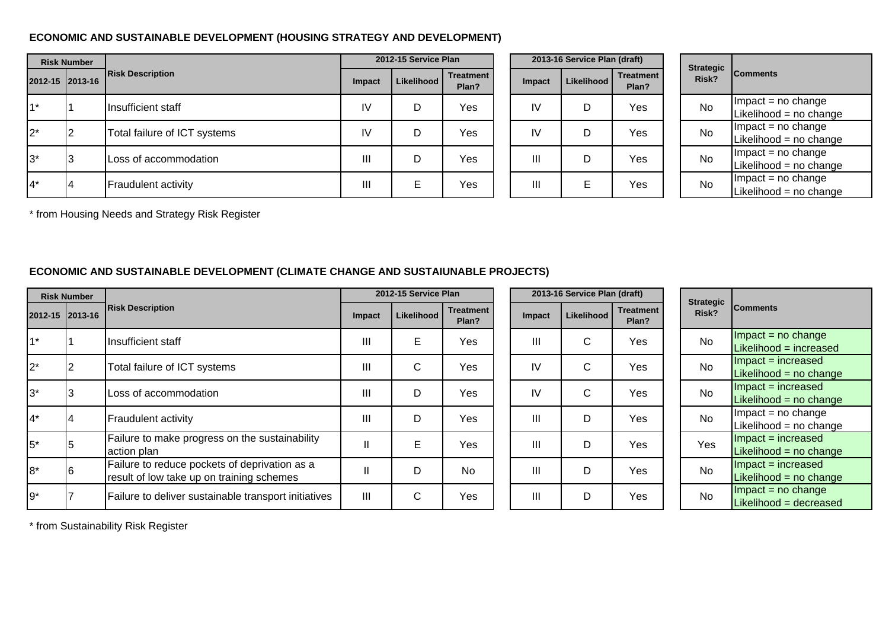### **ECONOMIC AND SUSTAINABLE DEVELOPMENT (HOUSING STRATEGY AND DEVELOPMENT)**

|                 | <b>Risk Number</b> |                              |        | 2012-15 Service Plan |                           |                | 2013-16 Service Plan (draft) |                           | <b>Strategic</b> |                                               |
|-----------------|--------------------|------------------------------|--------|----------------------|---------------------------|----------------|------------------------------|---------------------------|------------------|-----------------------------------------------|
| 2012-15 2013-16 |                    | <b>Risk Description</b>      | Impact | Likelihood           | <b>Treatment</b><br>Plan? | <b>Impact</b>  | Likelihood                   | <b>Treatment</b><br>Plan? | Risk?            | <b>Comments</b>                               |
| $11*$           |                    | Insufficient staff           | IV     | D                    | Yes                       | IV             | D                            | Yes                       | <b>No</b>        | $Im$ pact = no change<br>Likelihood = no chan |
| $2^*$           |                    | Total failure of ICT systems | IV     | D                    | Yes                       | IV             | D                            | Yes                       | <b>No</b>        | $Im$ pact = no change<br>Likelihood = no chan |
| $3^*$           |                    | Loss of accommodation        | Ш      | D                    | Yes                       | $\mathbf{III}$ | D                            | Yes                       | <b>No</b>        | $Im$ pact = no change<br>Likelihood = no chan |
| $4^*$           | Ι4                 | Fraudulent activity          | Ш      | E                    | Yes                       | $\mathbf{III}$ | F.                           | Yes                       | <b>No</b>        | $Im$ pact = no change<br>Likelihood = no chan |

|    | 2012-15 Service Plan |                           |               | 2013-16 Service Plan (draft) |                           |
|----|----------------------|---------------------------|---------------|------------------------------|---------------------------|
| .t | Likelihood           | <b>Treatment</b><br>Plan? | <b>Impact</b> | <b>Likelihood</b>            | <b>Treatment</b><br>Plan? |
|    | D                    | Yes                       | IV            | D                            | Yes                       |
|    | D                    | Yes                       | IV            |                              | Yes                       |
|    | D                    | Yes                       | Ш             |                              | Yes                       |
|    | Е                    | Yes                       | Ш             | F                            | Yes                       |

| <b>Strategic</b><br>Risk? | <b>Comments</b>        |
|---------------------------|------------------------|
| No                        | $Im$ pact = no change  |
|                           | Likelihood = no change |
| N٥                        | $Im$ pact = no change  |
|                           | Likelihood = no change |
| No                        | $Impact = no change$   |
|                           | Likelihood = no change |
| N٥                        | $Impact = no change$   |
|                           | Likelihood = no change |

\* from Housing Needs and Strategy Risk Register

# **ECONOMIC AND SUSTAINABLE DEVELOPMENT (CLIMATE CHANGE AND SUSTAIUNABLE PROJECTS)**

|        | <b>Risk Number</b> |                                                                                            |              | 2012-15 Service Plan |                           |        | 2013-16 Service Plan (draft) |                           |                           |                                                   |
|--------|--------------------|--------------------------------------------------------------------------------------------|--------------|----------------------|---------------------------|--------|------------------------------|---------------------------|---------------------------|---------------------------------------------------|
|        | 2012-15 2013-16    | <b>Risk Description</b>                                                                    | Impact       | Likelihood           | <b>Treatment</b><br>Plan? | Impact | Likelihood                   | <b>Treatment</b><br>Plan? | <b>Strategic</b><br>Risk? | <b>Comments</b>                                   |
| $1^*$  |                    | Insufficient staff                                                                         | Ш            | E                    | Yes                       | III    | С                            | Yes                       | <b>No</b>                 | $Im$ pact = no change<br>Likelihood = increased   |
| $2^*$  |                    | Total failure of ICT systems                                                               | Ш            | C                    | Yes                       | IV     | C                            | Yes                       | <b>No</b>                 | $Im$ pact = increased<br>Likelihood = $no$ change |
| $ 3^*$ | 3                  | Loss of accommodation                                                                      | Ш            | D                    | Yes                       | IV     | С                            | Yes                       | <b>No</b>                 | $Im$ pact = increased<br>Likelihood = $no$ change |
| $ 4^*$ | 4                  | <b>Fraudulent activity</b>                                                                 | Ш            | D                    | Yes                       | Ш      | D                            | Yes                       | <b>No</b>                 | $Im$ pact = no change<br>Likelihood = no change   |
| $5*$   |                    | Failure to make progress on the sustainability<br>action plan                              | Ш            | E                    | Yes                       | Ш      | D                            | Yes                       | Yes                       | $Im$ pact = increased<br>Likelihood = $no$ change |
| $8*$   |                    | Failure to reduce pockets of deprivation as a<br>result of low take up on training schemes | $\mathbf{I}$ | D                    | <b>No</b>                 | Ш      | D                            | Yes                       | <b>No</b>                 | $Im$ pact = increased<br>Likelihood = $no$ change |
| l9*    |                    | Failure to deliver sustainable transport initiatives                                       | III          | C                    | Yes                       | Ш      | D                            | Yes                       | <b>No</b>                 | $Impact = no change$<br>Likelihood = decreased    |

\* from Sustainability Risk Register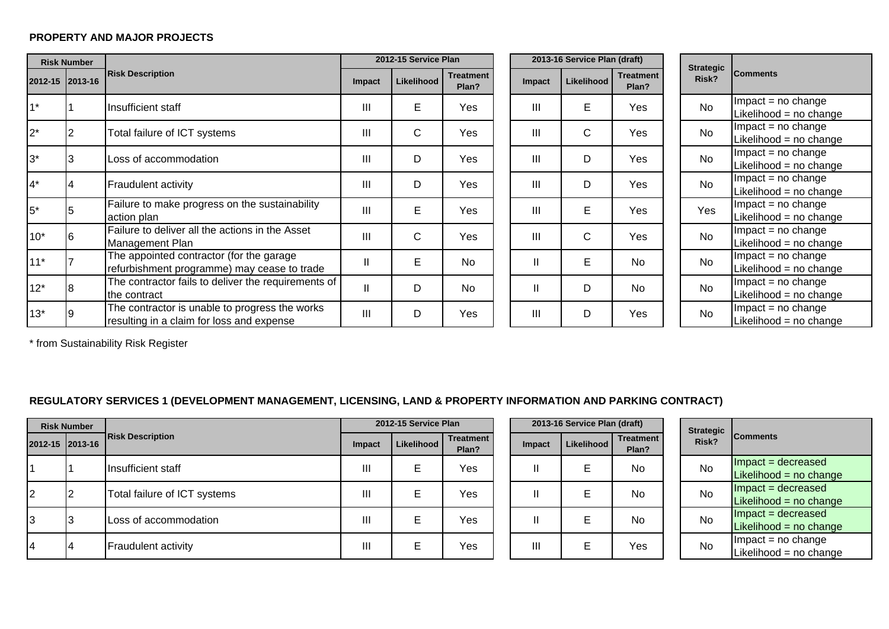#### **PROPERTY AND MAJOR PROJECTS**

|                 | <b>Risk Number</b> |                                                                                             |        | 2012-15 Service Plan |                           |                | 2013-16 Service Plan (draft) |                           |                           |                                                |
|-----------------|--------------------|---------------------------------------------------------------------------------------------|--------|----------------------|---------------------------|----------------|------------------------------|---------------------------|---------------------------|------------------------------------------------|
| 2012-15 2013-16 |                    | <b>Risk Description</b>                                                                     | Impact | Likelihood           | <b>Treatment</b><br>Plan? | <b>Impact</b>  | Likelihood                   | <b>Treatment</b><br>Plan? | <b>Strategic</b><br>Risk? | <b>Comments</b>                                |
| $1*$            |                    | Insufficient staff                                                                          | Ш      | E                    | Yes                       | Ш              | E                            | Yes                       | <b>No</b>                 | $Impact = no change$<br>Likelihood = no change |
| $2^*$           |                    | Total failure of ICT systems                                                                | Ш      | $\mathsf{C}$         | Yes                       | III            | $\mathsf{C}$                 | Yes                       | <b>No</b>                 | $Impact = no change$<br>Likelihood = no change |
| $3^*$           |                    | Loss of accommodation                                                                       | Ш      | D                    | Yes                       | $\mathbf{III}$ | D                            | Yes                       | <b>No</b>                 | $Impact = no change$<br>Likelihood = no change |
| $4*$            | Ι4                 | <b>Fraudulent activity</b>                                                                  | Ш      | D                    | Yes                       | III            | D                            | Yes                       | <b>No</b>                 | $Impact = no change$<br>Likelihood = no change |
| $5*$            |                    | Failure to make progress on the sustainability<br>action plan                               | Ш      | E                    | Yes                       | $\mathbf{III}$ | E                            | Yes                       | Yes                       | $Impact = no change$<br>Likelihood = no change |
| $10*$           | l6                 | Failure to deliver all the actions in the Asset<br>Management Plan                          | Ш      | $\mathsf{C}$         | Yes                       | III            | C                            | Yes                       | <b>No</b>                 | $Impact = no change$<br>Likelihood = no change |
| $11*$           |                    | The appointed contractor (for the garage<br>refurbishment programme) may cease to trade     | н.     | E                    | <b>No</b>                 | Ш              | E                            | <b>No</b>                 | <b>No</b>                 | Impact = no change<br>Likelihood = no change   |
| $12*$           | l8                 | The contractor fails to deliver the requirements of<br>Ithe contract                        | Ш      | D                    | <b>No</b>                 | $\mathsf{I}$   | D                            | <b>No</b>                 | <b>No</b>                 | $Impact = no change$<br>Likelihood = no change |
| $13*$           |                    | The contractor is unable to progress the works<br>resulting in a claim for loss and expense | Ш      | D                    | Yes                       | $\mathbf{III}$ | D                            | Yes                       | <b>No</b>                 | $Impact = no change$<br>Likelihood = no change |

\* from Sustainability Risk Register

### **REGULATORY SERVICES 1 (DEVELOPMENT MANAGEMENT, LICENSING, LAND & PROPERTY INFORMATION AND PARKING CONTRACT)**

|  | <b>Risk Number</b> |                              |        | 2012-15 Service Plan |                           |               | 2013-16 Service Plan (draft) |                           | <b>Strategic</b> |                                               |
|--|--------------------|------------------------------|--------|----------------------|---------------------------|---------------|------------------------------|---------------------------|------------------|-----------------------------------------------|
|  | 2012-15 2013-16    | <b>Risk Description</b>      | Impact | Likelihood           | <b>Treatment</b><br>Plan? | <b>Impact</b> | Likelihood                   | <b>Treatment</b><br>Plan? | Risk?            | <b>Comments</b>                               |
|  |                    | Ilnsufficient staff          | Ш      |                      | Yes                       |               |                              | No                        | <b>No</b>        | $Im$ pact = decreased<br>Likelihood = no chan |
|  | I2                 | Total failure of ICT systems | Ш      |                      | Yes                       |               | E                            | <b>No</b>                 | <b>No</b>        | $Im$ pact = decreased<br>Likelihood = no chan |
|  |                    | Loss of accommodation        | Ш      | Е                    | Yes                       |               |                              | <b>No</b>                 | <b>No</b>        | $Im$ pact = decreased<br>Likelihood = no chan |
|  | 14                 | <b>Fraudulent activity</b>   | Ш      | Е                    | Yes                       | Ш             | E                            | Yes                       | No               | $Im$ pact = no change<br>Likelihood = no chan |

|          | 2013-16 Service Plan (draft) |            |                           |  |  |  |  |  |  |  |
|----------|------------------------------|------------|---------------------------|--|--|--|--|--|--|--|
| ent<br>? | Impact                       | Likelihood | <b>Treatment</b><br>Plan? |  |  |  |  |  |  |  |
| ś        |                              | Е          | No                        |  |  |  |  |  |  |  |
| ś        |                              | Е          | No                        |  |  |  |  |  |  |  |
| 3        |                              | Е          | No                        |  |  |  |  |  |  |  |
| ś        | Ш                            | Е          | Yes                       |  |  |  |  |  |  |  |

| Strategic<br>Risk? | <b>Comments</b>          |
|--------------------|--------------------------|
| N٥                 | Impact = decreased       |
|                    | Likelihood = no change   |
| N٥                 | Impact = decreased       |
|                    | Likelihood = no change   |
| N٥                 | Impact = decreased       |
|                    | Likelihood = $no$ change |
| N٥                 | $Impact = no change$     |
|                    | Likelihood = no change   |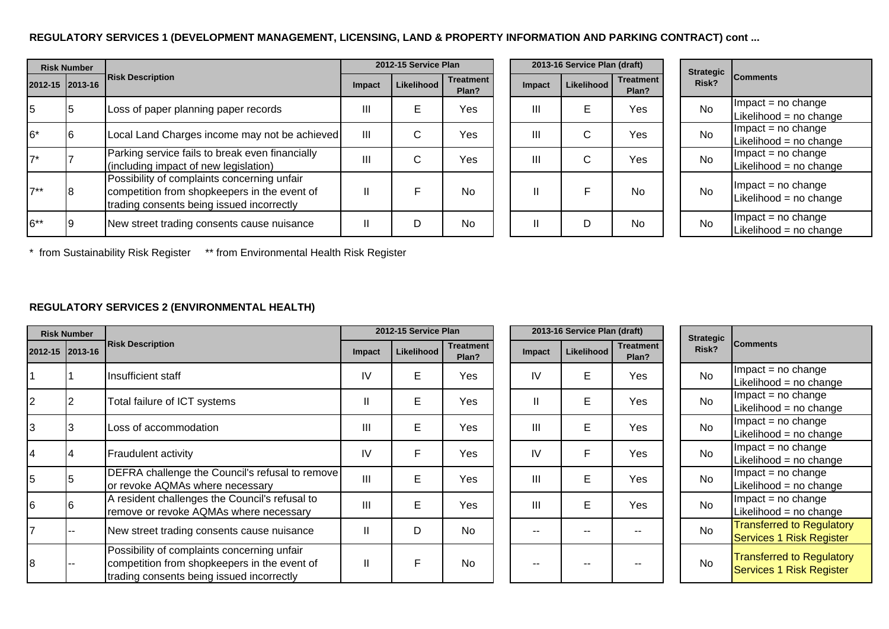### **REGULATORY SERVICES 1 (DEVELOPMENT MANAGEMENT, LICENSING, LAND & PROPERTY INFORMATION AND PARKING CONTRACT) cont ...**

|                 | <b>Risk Number</b> |                                                                                                                                          |              | 2012-15 Service Plan |                           |                | 2013-16 Service Plan (draft) |                           | <b>Strategic</b> |                                               |
|-----------------|--------------------|------------------------------------------------------------------------------------------------------------------------------------------|--------------|----------------------|---------------------------|----------------|------------------------------|---------------------------|------------------|-----------------------------------------------|
| 2012-15 2013-16 |                    | <b>Risk Description</b>                                                                                                                  | Impact       | Likelihood           | <b>Treatment</b><br>Plan? | Impact         | Likelihood                   | <b>Treatment</b><br>Plan? | Risk?            | <b>Comments</b>                               |
| 15              | ıь                 | Loss of paper planning paper records                                                                                                     | Ш            | Е                    | Yes                       | $\mathbf{III}$ | Е                            | Yes                       | <b>No</b>        | $Im$ pact = no change<br>Likelihood = no chan |
| $16*$           | 16                 | Local Land Charges income may not be achieved                                                                                            | III          | C                    | Yes                       | Ш              | $\mathsf{C}$                 | Yes                       | <b>No</b>        | $Im$ pact = no change<br>Likelihood = no chan |
| $17*$           |                    | Parking service fails to break even financially<br>(including impact of new legislation)                                                 | Ш            | С                    | Yes                       | III            | C                            | Yes                       | <b>No</b>        | $Im$ pact = no change<br>Likelihood = no chan |
| $17**$          |                    | Possibility of complaints concerning unfair<br>competition from shopkeepers in the event of<br>trading consents being issued incorrectly | $\mathbf{I}$ | F                    | <b>No</b>                 | Ш              |                              | <b>No</b>                 | <b>No</b>        | $Im$ pact = no change<br>Likelihood = no chan |
| 6**             |                    | New street trading consents cause nuisance                                                                                               | Ш            | D                    | <b>No</b>                 | Ш              | D                            | <b>No</b>                 | <b>No</b>        | $Im$ pact = no change<br>Likelihood = no chan |

|              | 2012-15 Service Plan |                           | 2013-16 Service Plan (draft) | <b>Strategic</b> |                           |       |
|--------------|----------------------|---------------------------|------------------------------|------------------|---------------------------|-------|
| <b>pact</b>  | <b>Likelihood</b>    | <b>Treatment</b><br>Plan? | Impact                       | Likelihood       | <b>Treatment</b><br>Plan? | Risk? |
| Ш            | E                    | Yes                       | Ш                            | E                | Yes                       | No    |
| Ш            | $\mathsf{C}$         | Yes                       | Ш                            | C                | Yes                       | No    |
| $\mathbf{I}$ | C                    | Yes                       | Ш                            | C                | Yes                       | No    |
| II           | F                    | No.                       | $\mathsf{II}$                | F                | No                        | No    |
| II           | D                    | No                        | $\mathsf{II}$                | D                | No                        | No    |

| <b>Strategic</b><br>Risk? | <b>Comments</b>                                |
|---------------------------|------------------------------------------------|
| N٥                        | $Impact = no change$                           |
|                           | Likelihood = no change                         |
| N٥                        | $Impact = no change$                           |
|                           | Likelihood = no change                         |
| N٥                        | $Impact = no change$                           |
|                           | Likelihood = no change                         |
| N٥                        | $Impact = no change$<br>Likelihood = no change |
| N٥                        | $Impact = no change$<br>Likelihood = no change |

\* from Sustainability Risk Register \*\* from Environmental Health Risk Register

### **REGULATORY SERVICES 2 (ENVIRONMENTAL HEALTH)**

|    | <b>Risk Number</b> |                                                                                                                                          |        | 2012-15 Service Plan |                           |               | 2013-16 Service Plan (draft) |                           |                           |                                                              |
|----|--------------------|------------------------------------------------------------------------------------------------------------------------------------------|--------|----------------------|---------------------------|---------------|------------------------------|---------------------------|---------------------------|--------------------------------------------------------------|
|    | 2012-15 2013-16    | <b>Risk Description</b>                                                                                                                  | Impact | Likelihood           | <b>Treatment</b><br>Plan? | <b>Impact</b> | Likelihood                   | <b>Treatment</b><br>Plan? | <b>Strategic</b><br>Risk? | <b>Comments</b>                                              |
|    |                    | Insufficient staff                                                                                                                       | IV     | E                    | Yes                       | IV            | E                            | Yes                       | <b>No</b>                 | $Im$ pact = no change<br>Likelihood = no change              |
|    |                    | Total failure of ICT systems                                                                                                             | Ш      | E                    | Yes                       |               | E                            | Yes                       | <b>No</b>                 | $Im$ pact = no change<br>Likelihood = no change              |
|    |                    | Loss of accommodation                                                                                                                    | III    | E                    | Yes                       | Ш             | E                            | Yes                       | <b>No</b>                 | $Im$ pact = no change<br>Likelihood = no change              |
|    |                    | Fraudulent activity                                                                                                                      | IV     | F                    | Yes                       | IV            | F                            | Yes                       | <b>No</b>                 | $Im$ pact = no change<br>Likelihood = no change              |
|    |                    | DEFRA challenge the Council's refusal to remove<br>or revoke AQMAs where necessary                                                       | III    | E                    | Yes                       | Ш             | E                            | Yes                       | <b>No</b>                 | $Im$ pact = no change<br>Likelihood = no change              |
|    |                    | A resident challenges the Council's refusal to<br>remove or revoke AQMAs where necessary                                                 | III    | E                    | Yes                       | Ш             | E                            | Yes                       | <b>No</b>                 | $Im$ pact = no change<br>Likelihood = no change              |
|    |                    | New street trading consents cause nuisance                                                                                               | Ш      | D                    | <b>No</b>                 | --            | --                           |                           | <b>No</b>                 | <b>Transferred to Regulatory</b><br>Services 1 Risk Register |
| l8 |                    | Possibility of complaints concerning unfair<br>competition from shopkeepers in the event of<br>trading consents being issued incorrectly | Ш      | F                    | <b>No</b>                 | $- -$         | --                           |                           | <b>No</b>                 | <b>Transferred to Regulatory</b><br>Services 1 Risk Register |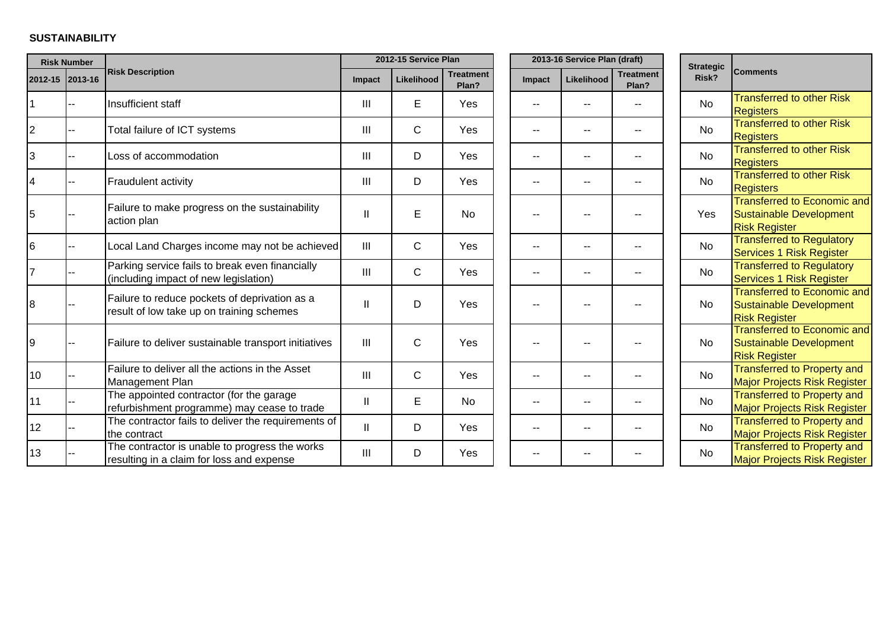### **SUSTAINABILITY**

|                 | <b>Risk Number</b> |                                                                                             |                | 2012-15 Service Plan |                           |               | 2013-16 Service Plan (draft) |                           | <b>Strategic</b> |                                                                                       |
|-----------------|--------------------|---------------------------------------------------------------------------------------------|----------------|----------------------|---------------------------|---------------|------------------------------|---------------------------|------------------|---------------------------------------------------------------------------------------|
| 2012-15 2013-16 |                    | <b>Risk Description</b>                                                                     | Impact         | Likelihood           | <b>Treatment</b><br>Plan? | <b>Impact</b> | Likelihood                   | <b>Treatment</b><br>Plan? | Risk?            | <b>Comments</b>                                                                       |
|                 |                    | Insufficient staff                                                                          | III            | E                    | Yes                       |               |                              |                           | No               | <b>Transferred to other Risk</b><br><b>Registers</b>                                  |
| $\overline{c}$  |                    | Total failure of ICT systems                                                                | III            | $\mathsf{C}$         | Yes                       |               |                              |                           | <b>No</b>        | <b>Transferred to other Risk</b><br><b>Registers</b>                                  |
| 3               |                    | Loss of accommodation                                                                       | III            | D                    | Yes                       | --            | --                           | --                        | <b>No</b>        | <b>Transferred to other Risk</b><br><b>Registers</b>                                  |
| 4               |                    | Fraudulent activity                                                                         | III            | D                    | Yes                       | --            | --                           |                           | <b>No</b>        | <b>Transferred to other Risk</b><br><b>Registers</b>                                  |
| 5               |                    | Failure to make progress on the sustainability<br>action plan                               | Ш              | E                    | <b>No</b>                 |               |                              |                           | Yes              | <b>Transferred to Economic and</b><br>Sustainable Development<br><b>Risk Register</b> |
| 6               |                    | Local Land Charges income may not be achieved                                               | $\mathbf{III}$ | $\mathsf{C}$         | Yes                       |               | --                           |                           | <b>No</b>        | <b>Transferred to Regulatory</b><br>Services 1 Risk Register                          |
|                 |                    | Parking service fails to break even financially<br>(including impact of new legislation)    | III            | $\mathsf{C}$         | Yes                       |               | $-$                          |                           | <b>No</b>        | <b>Transferred to Regulatory</b><br>Services 1 Risk Register                          |
| 8               |                    | Failure to reduce pockets of deprivation as a<br>result of low take up on training schemes  | Ш              | D                    | Yes                       |               | --                           |                           | No               | <b>Transferred to Economic and</b><br>Sustainable Development<br><b>Risk Register</b> |
| 9               |                    | Failure to deliver sustainable transport initiatives                                        | III            | $\mathsf{C}$         | Yes                       |               | --                           |                           | <b>No</b>        | <b>Transferred to Economic and</b><br>Sustainable Development<br><b>Risk Register</b> |
| 10              |                    | Failure to deliver all the actions in the Asset<br>Management Plan                          | III            | $\mathsf{C}$         | Yes                       |               | --                           |                           | <b>No</b>        | <b>Transferred to Property and</b><br><b>Major Projects Risk Register</b>             |
| 11              |                    | The appointed contractor (for the garage<br>refurbishment programme) may cease to trade     | Ш              | E                    | <b>No</b>                 | --            | --                           |                           | <b>No</b>        | <b>Transferred to Property and</b><br><b>Major Projects Risk Register</b>             |
| 12              |                    | The contractor fails to deliver the requirements of<br>the contract                         | H.             | D                    | Yes                       | --            | $-$                          | --                        | <b>No</b>        | <b>Transferred to Property and</b><br>Major Projects Risk Register                    |
| 13              |                    | The contractor is unable to progress the works<br>resulting in a claim for loss and expense | III            | D                    | Yes                       |               |                              |                           | <b>No</b>        | <b>Transferred to Property and</b><br><b>Major Projects Risk Register</b>             |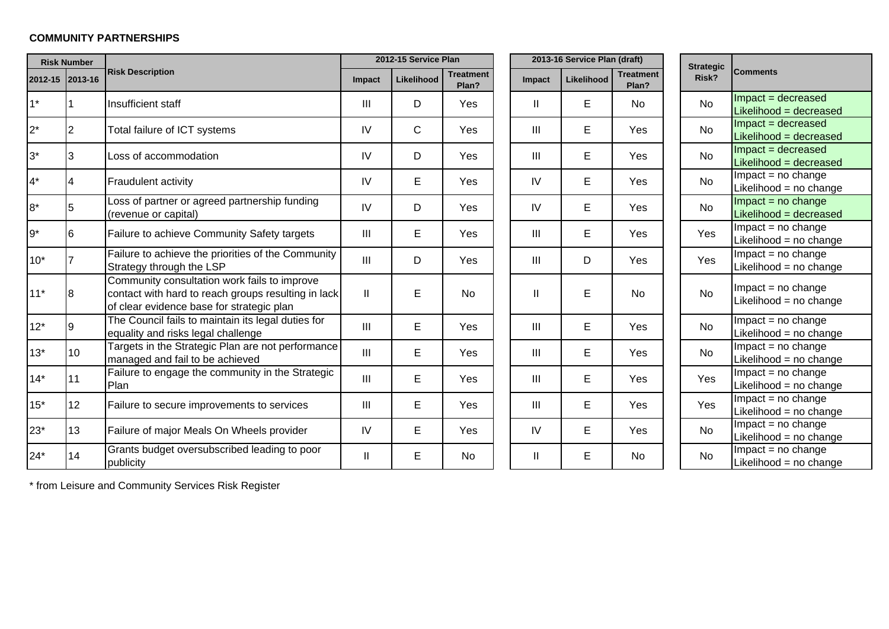### **COMMUNITY PARTNERSHIPS**

| <b>Risk Number</b> |    |                                                                                                                                                  |                | 2012-15 Service Plan |                           | 2013-16 Service Plan (draft) |            |                    |  | <b>Strategic</b> |                                                 |
|--------------------|----|--------------------------------------------------------------------------------------------------------------------------------------------------|----------------|----------------------|---------------------------|------------------------------|------------|--------------------|--|------------------|-------------------------------------------------|
| 2012-15 2013-16    |    | <b>Risk Description</b>                                                                                                                          | Impact         | Likelihood           | <b>Treatment</b><br>Plan? | Impact                       | Likelihood | Treatment<br>Plan? |  | Risk?            | <b>Comments</b>                                 |
| $1*$               |    | Insufficient staff                                                                                                                               | Ш              | D                    | Yes                       | Ш                            | E          | No                 |  | <b>No</b>        | $Im$ pact = decreased<br>Likelihood = decreased |
| $2^*$              | 2  | Total failure of ICT systems                                                                                                                     | IV             | C                    | Yes                       | III                          | E          | Yes                |  | <b>No</b>        | Impact = decreased<br>Likelihood = decreased    |
| $3^*$              | 3  | Loss of accommodation                                                                                                                            | IV             | D                    | Yes                       | Ш                            | E          | Yes                |  | No               | Impact = decreased<br>Likelihood = decreased    |
| $4^*$              | 4  | Fraudulent activity                                                                                                                              | IV             | E                    | Yes                       | IV                           | E          | Yes                |  | <b>No</b>        | $Im$ pact = no change<br>Likelihood = no change |
| $8*$               | 5  | Loss of partner or agreed partnership funding<br>(revenue or capital)                                                                            | IV             | D                    | Yes                       | IV                           | E          | Yes                |  | <b>No</b>        | $Im$ pact = no change<br>Likelihood = decreased |
| $9*$               | 6  | Failure to achieve Community Safety targets                                                                                                      | III            | E                    | Yes                       | Ш                            | E          | Yes                |  | Yes              | $Im$ pact = no change<br>Likelihood = no change |
| $10*$              |    | Failure to achieve the priorities of the Community<br>Strategy through the LSP                                                                   | $\mathbf{III}$ | D                    | Yes                       | III                          | D          | Yes                |  | Yes              | $Im$ pact = no change<br>Likelihood = no change |
| $11*$              | 8  | Community consultation work fails to improve<br>contact with hard to reach groups resulting in lack<br>of clear evidence base for strategic plan | Ш              | E                    | <b>No</b>                 | $\mathbf{I}$                 | E          | <b>No</b>          |  | <b>No</b>        | $Im$ pact = no change<br>Likelihood = no change |
| $12*$              | Ι9 | The Council fails to maintain its legal duties for<br>equality and risks legal challenge                                                         | III            | E                    | Yes                       | III                          | E          | Yes                |  | <b>No</b>        | $Im$ pact = no change<br>Likelihood = no change |
| $13*$              | 10 | Targets in the Strategic Plan are not performance<br>managed and fail to be achieved                                                             | III            | E                    | Yes                       | III                          | E          | Yes                |  | <b>No</b>        | Impact = no change<br>Likelihood = $no$ change  |
| $14*$              | 11 | Failure to engage the community in the Strategic<br>Plan                                                                                         | III            | E                    | Yes                       | Ш                            | E          | Yes                |  | Yes              | $Im$ pact = no change<br>Likelihood = no change |
| $15*$              | 12 | Failure to secure improvements to services                                                                                                       | III            | E                    | Yes                       | III                          | E          | Yes                |  | Yes              | $Im$ pact = no change<br>Likelihood = no change |
| $23*$              | 13 | Failure of major Meals On Wheels provider                                                                                                        | IV             | E                    | Yes                       | IV                           | E          | Yes                |  | <b>No</b>        | $Impact = no change$<br>Likelihood = no change  |
| $24*$              | 14 | Grants budget oversubscribed leading to poor<br>publicity                                                                                        | Ш              | E                    | No                        | Ш                            | E          | No                 |  | <b>No</b>        | $Im$ pact = no change<br>Likelihood = no change |

\* from Leisure and Community Services Risk Register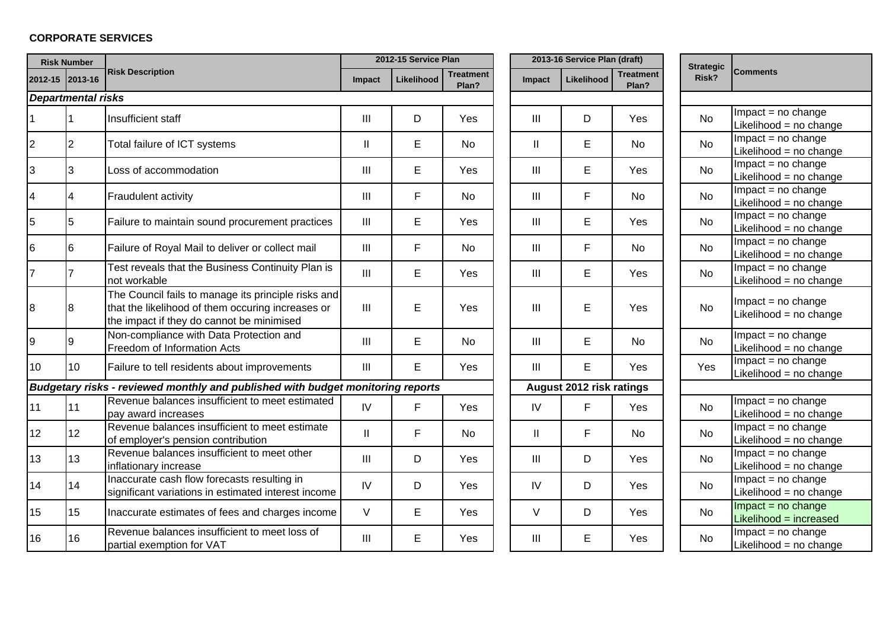# **CORPORATE SERVICES**

|                 | <b>Risk Number</b>        |                                                                                                                                                       |                                    | 2012-15 Service Plan |                           | 2013-16 Service Plan (draft) |                |                          |                           | <b>Strategic</b> |                                                 |
|-----------------|---------------------------|-------------------------------------------------------------------------------------------------------------------------------------------------------|------------------------------------|----------------------|---------------------------|------------------------------|----------------|--------------------------|---------------------------|------------------|-------------------------------------------------|
|                 | 2012-15 2013-16           | <b>Risk Description</b>                                                                                                                               | Impact                             | <b>Likelihood</b>    | <b>Treatment</b><br>Plan? |                              | Impact         | Likelihood               | <b>Treatment</b><br>Plan? | Risk?            | <b>Comments</b>                                 |
|                 | <b>Departmental risks</b> |                                                                                                                                                       |                                    |                      |                           |                              |                |                          |                           |                  |                                                 |
|                 |                           | Insufficient staff                                                                                                                                    | $\mathbf{III}$                     | D                    | Yes                       |                              | III            | D                        | Yes                       | <b>No</b>        | Impact = no change<br>Likelihood = no change    |
| 2               | 2                         | Total failure of ICT systems                                                                                                                          | $\mathbf{  }$                      | Е                    | <b>No</b>                 |                              | Ш              | E                        | <b>No</b>                 | <b>No</b>        | $Impact = no change$<br>Likelihood = no change  |
|                 | 3                         | Loss of accommodation                                                                                                                                 | III                                | E                    | Yes                       |                              | III            | E                        | Yes                       | No               | $Im$ pact = no change<br>Likelihood = no change |
|                 | 4                         | Fraudulent activity                                                                                                                                   | $\ensuremath{\mathsf{III}}\xspace$ | F                    | No                        |                              | Ш              | F                        | No                        | No               | $Im$ pact = no change<br>Likelihood = no change |
|                 | $\overline{5}$            | Failure to maintain sound procurement practices                                                                                                       | $\mathbf{III}$                     | E                    | Yes                       |                              | $\mathbf{III}$ | E                        | Yes                       | <b>No</b>        | $Im$ pact = no change<br>Likelihood = no change |
| 6               | 6                         | Failure of Royal Mail to deliver or collect mail                                                                                                      | $\mathbf{III}$                     | F.                   | <b>No</b>                 |                              | $\mathbf{III}$ | F                        | No                        | <b>No</b>        | $Im$ pact = no change<br>Likelihood = no change |
|                 | 7                         | Test reveals that the Business Continuity Plan is<br>not workable                                                                                     | $\mathbf{III}$                     | E                    | Yes                       |                              | III            | E                        | Yes                       | <b>No</b>        | $Impact = no change$<br>Likelihood = no change  |
| 8               | 8                         | The Council fails to manage its principle risks and<br>that the likelihood of them occuring increases or<br>the impact if they do cannot be minimised | $\mathbf{III}$                     | E                    | Yes                       |                              | III            | E                        | Yes                       | <b>No</b>        | $Im$ pact = no change<br>Likelihood = no change |
| q               | 9                         | Non-compliance with Data Protection and<br>Freedom of Information Acts                                                                                | III                                | E                    | <b>No</b>                 |                              | III            | E                        | <b>No</b>                 | <b>No</b>        | $Impact = no change$<br>Likelihood = no change  |
| 10              | 10 <sup>°</sup>           | Failure to tell residents about improvements                                                                                                          | $\mathbf{III}$                     | E                    | Yes                       |                              | III            | E                        | Yes                       | Yes              | $Impact = no change$<br>Likelihood = no change  |
|                 |                           | Budgetary risks - reviewed monthly and published with budget monitoring reports                                                                       |                                    |                      |                           |                              |                | August 2012 risk ratings |                           |                  |                                                 |
| 11              | 11                        | Revenue balances insufficient to meet estimated<br>pay award increases                                                                                | IV                                 | F                    | Yes                       |                              | IV             | F                        | Yes                       | <b>No</b>        | Impact = no change<br>Likelihood = no change    |
| 12              | 12 <sub>2</sub>           | Revenue balances insufficient to meet estimate<br>of employer's pension contribution                                                                  | $\mathbf{  }$                      | F                    | <b>No</b>                 |                              | $\mathbf{II}$  | F                        | <b>No</b>                 | <b>No</b>        | $Impact = no change$<br>Likelihood = no change  |
| 13              | 13                        | Revenue balances insufficient to meet other<br>inflationary increase                                                                                  | $\mathbf{III}$                     | D                    | Yes                       |                              | III            | D                        | Yes                       | <b>No</b>        | $Impact = no change$<br>Likelihood = no change  |
| 14              | 14                        | Inaccurate cash flow forecasts resulting in<br>significant variations in estimated interest income                                                    | IV                                 | D                    | Yes                       |                              | IV             | D                        | Yes                       | <b>No</b>        | Impact = $no$ change<br>Likelihood = no change  |
| 15 <sub>1</sub> | 15                        | Inaccurate estimates of fees and charges income                                                                                                       | V                                  | Е                    | Yes                       |                              | V              | D                        | Yes                       | <b>No</b>        | Impact = $no$ change<br>Likelihood = increased  |
| 16              | 16                        | Revenue balances insufficient to meet loss of<br>partial exemption for VAT                                                                            | $\ensuremath{\mathsf{III}}\xspace$ | E                    | Yes                       |                              | III            | E                        | Yes                       | No               | $Im$ pact = no change<br>Likelihood = no change |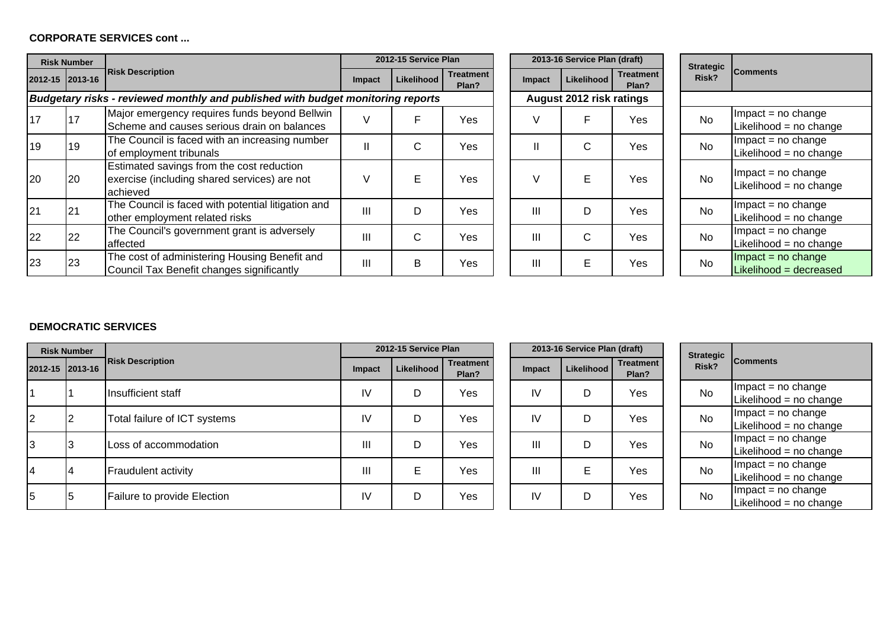#### **CORPORATE SERVICES cont ...**

| <b>Risk Number</b>                                                              |                 |                                                                                                       |               | 2012-15 Service Plan |                           | 2013-16 Service Plan (draft) |                |              |                           | <b>Strategic</b> |                                                 |
|---------------------------------------------------------------------------------|-----------------|-------------------------------------------------------------------------------------------------------|---------------|----------------------|---------------------------|------------------------------|----------------|--------------|---------------------------|------------------|-------------------------------------------------|
|                                                                                 | 2012-15 2013-16 | <b>Risk Description</b>                                                                               | <b>Impact</b> | Likelihood           | <b>Treatment</b><br>Plan? |                              | Impact         | Likelihood   | <b>Treatment</b><br>Plan? | Risk?            | <b>Comments</b>                                 |
| Budgetary risks - reviewed monthly and published with budget monitoring reports |                 |                                                                                                       |               |                      |                           | August 2012 risk ratings     |                |              |                           |                  |                                                 |
| 17                                                                              | 17              | Major emergency requires funds beyond Bellwin<br>Scheme and causes serious drain on balances          |               | F                    | Yes                       |                              |                | F            | Yes                       | <b>No</b>        | $Im$ pact = no change<br>Likelihood = no change |
| 19                                                                              | 19              | The Council is faced with an increasing number<br>of employment tribunals                             | Ш             | C.                   | Yes                       |                              |                | $\mathsf{C}$ | Yes                       | <b>No</b>        | $Im$ pact = no change<br>Likelihood = no change |
| 20                                                                              | 20              | Estimated savings from the cost reduction<br>exercise (including shared services) are not<br>achieved |               | E.                   | Yes                       |                              |                | E            | Yes                       | <b>No</b>        | $Im$ pact = no change<br>Likelihood = no change |
| 21                                                                              | 21              | The Council is faced with potential litigation and<br>other employment related risks                  | Ш             | D                    | Yes                       |                              | $\mathbf{III}$ | D            | Yes                       | <b>No</b>        | $Im$ pact = no change<br>Likelihood = no change |
| 22                                                                              | 22              | The Council's government grant is adversely<br>affected                                               | Ш             | C                    | Yes                       |                              | Ш              | C            | Yes                       | No               | $Im$ pact = no change<br>Likelihood = no change |
| 23                                                                              | 23              | The cost of administering Housing Benefit and<br>Council Tax Benefit changes significantly            | Ш             | В                    | Yes                       |                              | $\mathbf{III}$ | E            | Yes                       | <b>No</b>        | $Im$ pact = no change<br>Likelihood = decreased |

| <b>Treatment</b><br>ent<br>Risk?<br><b>Likelihood</b><br>Impact<br>?<br>Plan?<br>August 2012 risk ratings<br>٧<br>F<br>No<br>Yes<br>ś<br>C<br>No<br>II<br>Yes<br>Š<br>E<br>No<br>Yes<br>V<br>ś<br>Ш<br>No<br>Yes<br>ś<br>D |  | 2013-16 Service Plan (draft) |  |  |                  |  |  |  |  |  |  |  |
|----------------------------------------------------------------------------------------------------------------------------------------------------------------------------------------------------------------------------|--|------------------------------|--|--|------------------|--|--|--|--|--|--|--|
|                                                                                                                                                                                                                            |  |                              |  |  | <b>Strategic</b> |  |  |  |  |  |  |  |
|                                                                                                                                                                                                                            |  |                              |  |  |                  |  |  |  |  |  |  |  |
|                                                                                                                                                                                                                            |  |                              |  |  |                  |  |  |  |  |  |  |  |
|                                                                                                                                                                                                                            |  |                              |  |  |                  |  |  |  |  |  |  |  |
|                                                                                                                                                                                                                            |  |                              |  |  |                  |  |  |  |  |  |  |  |
|                                                                                                                                                                                                                            |  |                              |  |  |                  |  |  |  |  |  |  |  |
| Ш<br>C<br>No<br>ś<br>Yes                                                                                                                                                                                                   |  |                              |  |  |                  |  |  |  |  |  |  |  |
| Ш<br>No<br>Yes<br>Е<br>ś                                                                                                                                                                                                   |  |                              |  |  |                  |  |  |  |  |  |  |  |

| <b>Strategic</b><br>Risk? | <b>Comments</b>                                 |
|---------------------------|-------------------------------------------------|
|                           |                                                 |
| N٥                        | $Impact = no change$<br>Likelihood = no change  |
| N٥                        | $Im$ pact = no change<br>Likelihood = no change |
| N٥                        | $Impact = no change$<br>Likelihood = no change  |
| N٥                        | $Im$ pact = no change<br>Likelihood = no change |
| N٥                        | $Impact = no change$<br>Likelihood = no change  |
| N٥                        | $Impact = no change$<br>Likelihood = decreased  |

### **DEMOCRATIC SERVICES**

|                 | <b>Risk Number</b> |                              |        | 2012-15 Service Plan |                           |                | 2013-16 Service Plan (draft) |                           | <b>Strategic</b> |                                               |
|-----------------|--------------------|------------------------------|--------|----------------------|---------------------------|----------------|------------------------------|---------------------------|------------------|-----------------------------------------------|
| 2012-15 2013-16 |                    | <b>Risk Description</b>      | Impact | Likelihood           | <b>Treatment</b><br>Plan? | <b>Impact</b>  | Likelihood                   | <b>Treatment</b><br>Plan? | Risk?            | <b>Comments</b>                               |
|                 |                    | Insufficient staff           | IV     | D                    | Yes                       | IV             | D                            | Yes                       | <b>No</b>        | $Im$ pact = no change<br>Likelihood = no chan |
| $\overline{2}$  |                    | Total failure of ICT systems | IV     | D                    | Yes                       | IV             | D                            | Yes                       | No               | $Im$ pact = no change<br>Likelihood = no chan |
| 3               |                    | Loss of accommodation        | Ш      | D                    | Yes                       | III            | D                            | Yes                       | <b>No</b>        | $Im$ pact = no change<br>Likelihood = no chan |
| 4               |                    | <b>Fraudulent activity</b>   | III    | E.                   | Yes                       | $\mathbf{III}$ | Е                            | Yes                       | <b>No</b>        | $Im$ pact = no change<br>Likelihood = no chan |
| 5               | 5                  | Failure to provide Election  | IV     | D                    | Yes                       | IV             | D                            | Yes                       | <b>No</b>        | $Im$ pact = no change<br>Likelihood = no chan |

|          |        | 2013-16 Service Plan (draft) |                           | <b>Strategic</b> |
|----------|--------|------------------------------|---------------------------|------------------|
| ent<br>? | Impact | Likelihood                   | <b>Treatment</b><br>Plan? | Risk?            |
| ś        | IV     |                              | Yes                       | No               |
| ś        | IV     |                              | Yes                       | No               |
| ś        | Ш      |                              | Yes                       | No               |
| ś        | Ш      | E                            | Yes                       | No               |
| ś        | IV     |                              | Yes                       | No               |

| <b>Strategic</b><br>Risk? | <b>Comments</b>          |
|---------------------------|--------------------------|
| N٥                        | $Im$ pact = no change    |
|                           | Likelihood = $no$ change |
| N٥                        | $Im$ pact = no change    |
|                           | Likelihood = $no$ change |
| N٥                        | $Im$ pact = no change    |
|                           | Likelihood = no change   |
| N٥                        | $Im$ pact = no change    |
|                           | Likelihood = no change   |
| N٥                        | $Im$ pact = no change    |
|                           | Likelihood = $no$ change |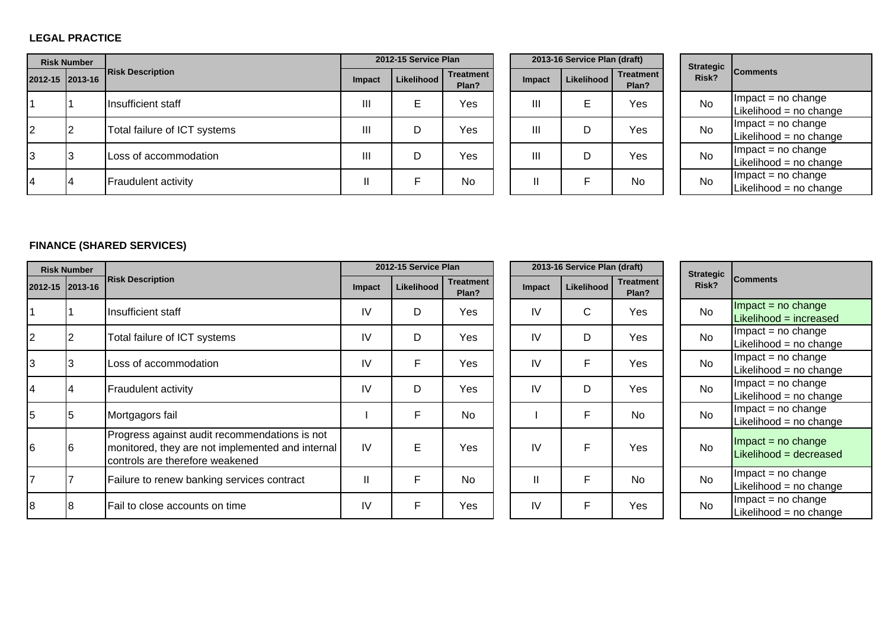### **LEGAL PRACTICE**

| <b>Risk Number</b> |                 |                              |        | 2012-15 Service Plan |                           |  |               | 2013-16 Service Plan (draft) |                           |  | <b>Strategic</b> |                                               |
|--------------------|-----------------|------------------------------|--------|----------------------|---------------------------|--|---------------|------------------------------|---------------------------|--|------------------|-----------------------------------------------|
|                    | 2012-15 2013-16 | <b>Risk Description</b>      | Impact | Likelihood           | <b>Treatment</b><br>Plan? |  | <b>Impact</b> | Likelihood I                 | <b>Treatment</b><br>Plan? |  | Risk?            | <b>Comments</b>                               |
|                    |                 | Insufficient staff           | Ш      | Е                    | Yes                       |  | Ш             | E                            | Yes                       |  | <b>No</b>        | $Im$ pact = no change<br>Likelihood = no chan |
| 2                  |                 | Total failure of ICT systems | Ш      | D                    | Yes                       |  | Ш             | D                            | Yes                       |  | <b>No</b>        | $Im$ pact = no change<br>Likelihood = no chan |
| 3                  |                 | Loss of accommodation        | Ш      | D                    | Yes                       |  | Ш             | D                            | Yes                       |  | <b>No</b>        | $Im$ pact = no change<br>Likelihood = no chan |
| 4                  |                 | <b>Fraudulent activity</b>   | Ш      |                      | No                        |  | Ш             |                              | No                        |  | <b>No</b>        | $Im$ pact = no change<br>Likelihood = no chan |

|          |               |                           | 2013-16 Service Plan (draft) |  |  |  |  |  |  |
|----------|---------------|---------------------------|------------------------------|--|--|--|--|--|--|
| ent<br>? | <b>Impact</b> | <b>Treatment</b><br>Plan? |                              |  |  |  |  |  |  |
| ś        | Ш             | E                         | Yes                          |  |  |  |  |  |  |
| ś        | Ш             |                           | Yes                          |  |  |  |  |  |  |
| ś        | Ш             |                           | Yes                          |  |  |  |  |  |  |
|          |               | F                         | No                           |  |  |  |  |  |  |

| <b>Strategic</b><br>Risk? | <b>Comments</b>        |
|---------------------------|------------------------|
| N٥                        | $Im$ pact = no change  |
|                           | Likelihood = no change |
| N٥                        | $Impact = no change$   |
|                           | Likelihood = no change |
| N٥                        | Impact $=$ no change   |
|                           | Likelihood = no change |
| N۵                        | $Impact = no change$   |
|                           | Likelihood = no change |

## **FINANCE (SHARED SERVICES)**

| <b>Risk Number</b> |                 |                                                                                                                                      |               | 2012-15 Service Plan |                           |              | 2013-16 Service Plan (draft) |                           | <b>Strategic</b> |                                               |
|--------------------|-----------------|--------------------------------------------------------------------------------------------------------------------------------------|---------------|----------------------|---------------------------|--------------|------------------------------|---------------------------|------------------|-----------------------------------------------|
|                    | 2012-15 2013-16 | <b>Risk Description</b>                                                                                                              | Impact        | Likelihood           | <b>Treatment</b><br>Plan? | Impact       | Likelihood                   | <b>Treatment</b><br>Plan? | Risk?            | <b>Comments</b>                               |
|                    |                 | Insufficient staff                                                                                                                   | IV            | D                    | Yes                       | IV           | C                            | Yes                       | No               | Impact = $no$ change<br>Likelihood = increase |
| $\overline{2}$     |                 | Total failure of ICT systems                                                                                                         | $\mathsf{IV}$ | D                    | Yes                       | IV           | D                            | Yes                       | <b>No</b>        | $Im$ pact = no change<br>Likelihood = no chan |
| $\overline{3}$     |                 | Loss of accommodation                                                                                                                | IV            | F                    | Yes                       | IV           | F                            | Yes                       | <b>No</b>        | $Impact = no change$<br>Likelihood = no chan  |
| 14                 |                 | Fraudulent activity                                                                                                                  | IV            | D                    | Yes                       | IV           | D                            | Yes                       | <b>No</b>        | $Im$ pact = no change<br>Likelihood = no chan |
| 5                  |                 | Mortgagors fail                                                                                                                      |               | F                    | <b>No</b>                 |              | F                            | <b>No</b>                 | No               | $Im$ pact = no change<br>Likelihood = no chan |
| 6                  | l6              | Progress against audit recommendations is not<br>monitored, they are not implemented and internal<br>controls are therefore weakened | IV            | E                    | Yes                       | IV           | F.                           | Yes                       | <b>No</b>        | $Im$ pact = no change<br>Likelihood = decreas |
|                    |                 | Failure to renew banking services contract                                                                                           | $\mathsf{I}$  | F                    | <b>No</b>                 | $\mathbf{I}$ | F                            | No                        | <b>No</b>        | $Im$ pact = no change<br>Likelihood = no chan |
| 8                  |                 | Fail to close accounts on time                                                                                                       | IV            | F                    | Yes                       | IV           | F                            | Yes                       | No               | $Im$ pact = no change<br>Likelihood = no chan |

|                          | 2012-15 Service Plan |                           | 2013-16 Service Plan (draft) | <b>Strategic</b> |                           |       |
|--------------------------|----------------------|---------------------------|------------------------------|------------------|---------------------------|-------|
| pact                     | Likelihood           | <b>Treatment</b><br>Plan? | Impact                       | Likelihood       | <b>Treatment</b><br>Plan? | Risk? |
| ΙV                       | D                    | Yes                       | IV                           | C                | Yes                       | No    |
| IV                       | D                    | Yes                       | IV                           | D                | Yes                       | No    |
| IV                       | F                    | Yes                       | IV                           | F                | Yes                       | No    |
| ΙV                       | D                    | Yes                       | IV                           | D                | Yes                       | No    |
| $\overline{\phantom{a}}$ | F                    | No                        | T                            | F                | No                        | No    |
| ΙV                       | E                    | Yes                       | IV                           | F                | Yes                       | No    |
| $\mathbf{I}$             | F                    | No                        | $\mathbf{I}$                 | F                | No                        | No    |
| ΙV                       | F                    | Yes                       | IV                           | F                | Yes                       | No    |

| <b>Strategic</b><br>Risk? | <b>Comments</b>                                |
|---------------------------|------------------------------------------------|
| N٥                        | Impact = no change<br>Likelihood = increased   |
| N٥                        | Impact = no change<br>Likelihood = no change   |
| No                        | $Impact = no change$<br>Likelihood = no change |
| Nο                        | $Impact = no change$<br>Likelihood = no change |
| N٥                        | Impact = no change<br>Likelihood = no change   |
| N٥                        | Impact = no change<br>Likelihood = decreased   |
| No                        | Impact = no change<br>Likelihood = no change   |
| N٥                        | Impact = no change<br>Likelihood = no change   |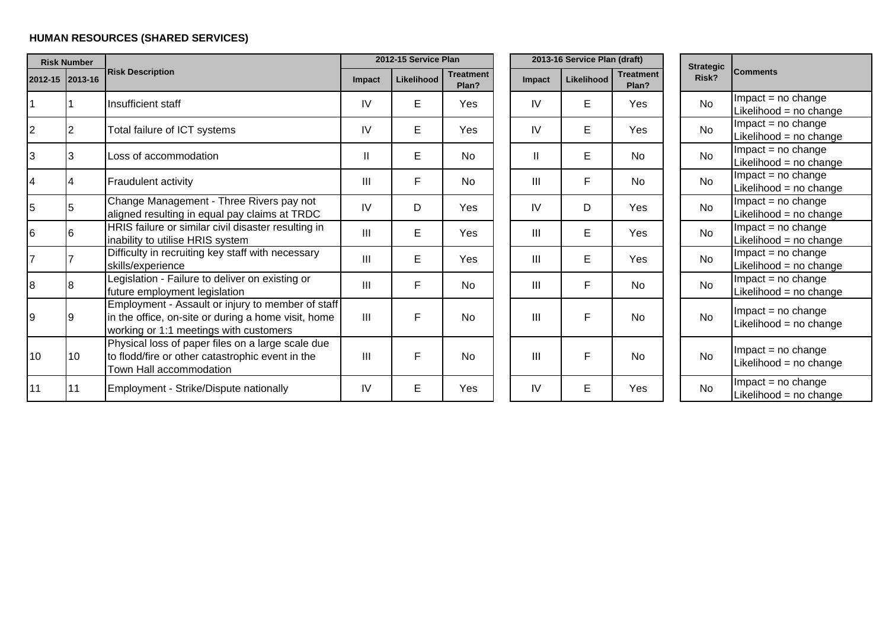# **HUMAN RESOURCES (SHARED SERVICES)**

|    | <b>Risk Number</b> |                                                                                                                                                    |              | 2012-15 Service Plan |                           |                | 2013-16 Service Plan (draft) |                           | <b>Strategic</b> |                                                 |
|----|--------------------|----------------------------------------------------------------------------------------------------------------------------------------------------|--------------|----------------------|---------------------------|----------------|------------------------------|---------------------------|------------------|-------------------------------------------------|
|    | 2012-15 2013-16    | <b>Risk Description</b>                                                                                                                            | Impact       | Likelihood           | <b>Treatment</b><br>Plan? | Impact         | Likelihood                   | <b>Treatment</b><br>Plan? | Risk?            | <b>Comments</b>                                 |
|    |                    | Insufficient staff                                                                                                                                 | IV           | E                    | Yes                       | IV             | Е                            | Yes                       | <b>No</b>        | $Im$ pact = no change<br>Likelihood = no change |
|    | <b>2</b>           | Total failure of ICT systems                                                                                                                       | IV           | E                    | Yes                       | IV             | E                            | Yes                       | <b>No</b>        | $Im$ pact = no change<br>Likelihood = no change |
| 3  | 3                  | Loss of accommodation                                                                                                                              | $\mathbf{I}$ | E                    | <b>No</b>                 | $\mathbf{I}$   | Е                            | <b>No</b>                 | <b>No</b>        | $Im$ pact = no change<br>Likelihood = no change |
| 4  |                    | Fraudulent activity                                                                                                                                | Ш            | F                    | No                        | III            | F                            | No.                       | <b>No</b>        | $Im$ pact = no change<br>Likelihood = no change |
| 5  | 5                  | Change Management - Three Rivers pay not<br>aligned resulting in equal pay claims at TRDC                                                          | IV           | D                    | Yes                       | IV             | D                            | Yes                       | <b>No</b>        | $Im$ pact = no change<br>Likelihood = no change |
| 6  | 16                 | HRIS failure or similar civil disaster resulting in<br>inability to utilise HRIS system                                                            | Ш            | E                    | Yes                       | III            | E                            | Yes                       | <b>No</b>        | $Im$ pact = no change<br>Likelihood = no change |
|    |                    | Difficulty in recruiting key staff with necessary<br>skills/experience                                                                             | Ш            | E                    | Yes                       | III            | E                            | Yes                       | <b>No</b>        | $Im$ pact = no change<br>Likelihood = no change |
| 8  | 8                  | Legislation - Failure to deliver on existing or<br>future employment legislation                                                                   | Ш            | F                    | <b>No</b>                 | III            | F                            | <b>No</b>                 | <b>No</b>        | $Im$ pact = no change<br>Likelihood = no change |
| 9  | 19                 | Employment - Assault or injury to member of staff<br>in the office, on-site or during a home visit, home<br>working or 1:1 meetings with customers | III          | F                    | <b>No</b>                 | $\mathbf{III}$ | F                            | <b>No</b>                 | <b>No</b>        | $Im$ pact = no change<br>Likelihood = no change |
| 10 | 10                 | Physical loss of paper files on a large scale due<br>to flodd/fire or other catastrophic event in the<br>Town Hall accommodation                   | Ш            | F                    | <b>No</b>                 | $\mathbf{III}$ | F                            | <b>No</b>                 | <b>No</b>        | $Im$ pact = no change<br>Likelihood = no change |
| 11 | 11                 | Employment - Strike/Dispute nationally                                                                                                             | IV           | E                    | Yes                       | IV             | E.                           | Yes                       | <b>No</b>        | $Im$ pact = no change<br>Likelihood = no change |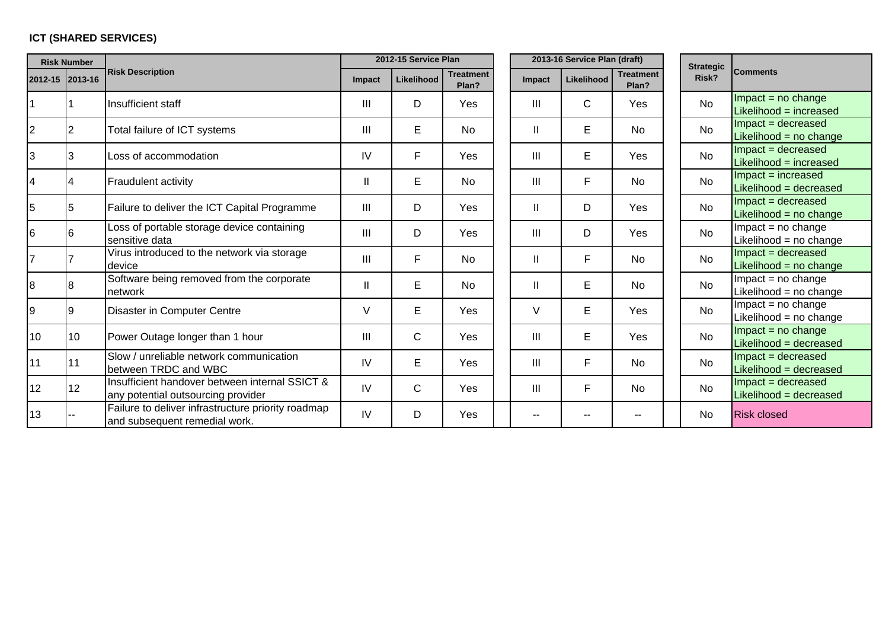# **ICT (SHARED SERVICES)**

| <b>Risk Number</b> |                |                                                                                      |        | 2012-15 Service Plan |                           |                | 2013-16 Service Plan (draft) |                           | <b>Strategic</b> |                                                 |  |
|--------------------|----------------|--------------------------------------------------------------------------------------|--------|----------------------|---------------------------|----------------|------------------------------|---------------------------|------------------|-------------------------------------------------|--|
| 2012-15 2013-16    |                | <b>Risk Description</b>                                                              | Impact | Likelihood           | <b>Treatment</b><br>Plan? | <b>Impact</b>  | Likelihood                   | <b>Treatment</b><br>Plan? | Risk?            | <b>Comments</b>                                 |  |
|                    |                | Insufficient staff                                                                   | Ш      | D                    | Yes                       | Ш              | $\mathsf{C}$                 | Yes                       | No               | $Im$ pact = no change<br>Likelihood = increased |  |
| $\overline{2}$     |                | Total failure of ICT systems                                                         | Ш      | E                    | <b>No</b>                 | Ш              | Е                            | <b>No</b>                 | No               | $Im$ pact = decreased<br>Likelihood = no change |  |
| 3                  | 3              | Loss of accommodation                                                                | IV     | F                    | Yes                       | Ш              | E                            | Yes                       | <b>No</b>        | $Im$ pact = decreased<br>Likelihood = increased |  |
| 4                  | $\overline{4}$ | Fraudulent activity                                                                  | Ш      | $\mathsf E$          | <b>No</b>                 | III            | F                            | No                        | <b>No</b>        | Impact = increased<br>Likelihood = decreased    |  |
| 5                  | 5              | Failure to deliver the ICT Capital Programme                                         | Ш      | D                    | Yes                       |                | D                            | Yes                       | <b>No</b>        | Impact = decreased<br>Likelihood = no change    |  |
| 6                  | 6              | Loss of portable storage device containing<br>sensitive data                         | Ш      | D                    | Yes                       | III            | D                            | Yes                       | No               | $Im$ pact = no change<br>Likelihood = no change |  |
| $\overline{7}$     |                | Virus introduced to the network via storage<br>device                                | Ш      | $\mathsf{F}$         | <b>No</b>                 |                | F                            | <b>No</b>                 | No               | $Im$ pact = decreased<br>Likelihood = no change |  |
| 8                  | 8              | Software being removed from the corporate<br>network                                 | Ш      | Е                    | <b>No</b>                 | Ш              | Е                            | <b>No</b>                 | No               | $Im$ pact = no change<br>Likelihood = no change |  |
| 9                  | 9              | Disaster in Computer Centre                                                          | V      | E                    | Yes                       | $\vee$         | E                            | Yes                       | <b>No</b>        | $Im$ pact = no change<br>Likelihood = no change |  |
| 10                 | 10             | Power Outage longer than 1 hour                                                      | Ш      | $\mathsf{C}$         | Yes                       | Ш              | E                            | Yes                       | <b>No</b>        | Impact = $no$ change<br>Likelihood = decreased  |  |
| 11                 | 11             | Slow / unreliable network communication<br>between TRDC and WBC                      | IV     | E                    | Yes                       | III            | F                            | <b>No</b>                 | No               | Impact = decreased<br>Likelihood = decreased    |  |
| 12                 | 12             | Insufficient handover between internal SSICT &<br>any potential outsourcing provider | IV     | $\mathsf{C}$         | Yes                       | $\mathbf{III}$ | F                            | <b>No</b>                 | <b>No</b>        | $Im$ pact = decreased<br>Likelihood = decreased |  |
| 13                 |                | Failure to deliver infrastructure priority roadmap<br>and subsequent remedial work.  | IV     | D                    | Yes                       | --             | --                           | --                        | <b>No</b>        | <b>Risk closed</b>                              |  |